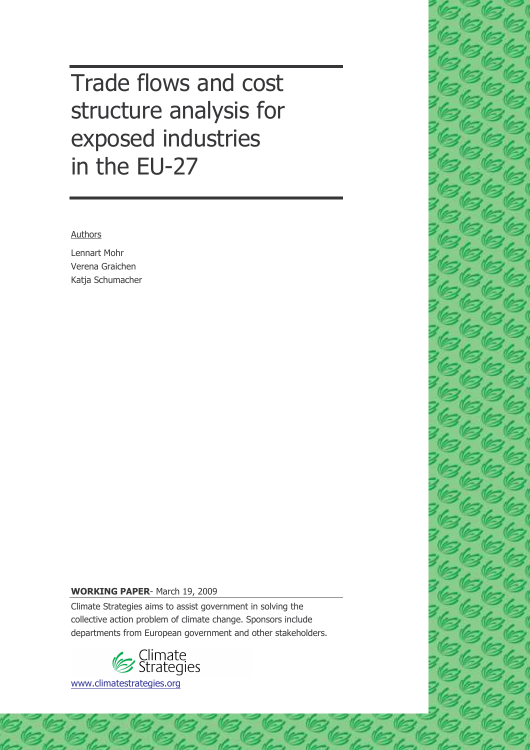Trade flows and cost structure analysis for exposed industries in the EU-27

Authors

Lennart Mohr Verena Graichen Katja Schumacher

#### **WORKING PAPER-March 19, 2009**

Climate Strategies aims to assist government in solving the collective action problem of climate change. Sponsors include departments from European government and other stakeholders.



www.climatestrategies.org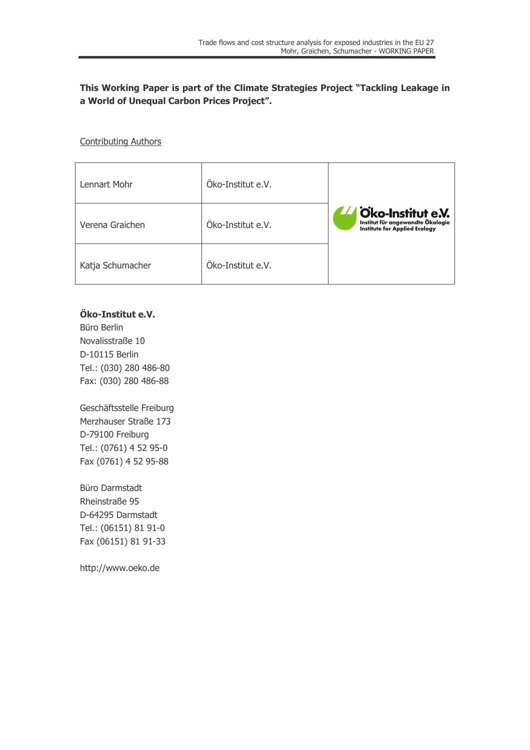### This Working Paper is part of the Climate Strategies Project "Tackling Leakage in a World of Unequal Carbon Prices Project".

#### **Contributing Authors**

| Lennart Mohr     | Öko-Institut e.V. |                                                                                                  |
|------------------|-------------------|--------------------------------------------------------------------------------------------------|
| Verena Graichen  | Öko-Institut e.V. | LA Oko-Institut e.V.<br>Institut für angewandte Ökologie<br><b>Institute for Applied Ecology</b> |
| Katja Schumacher | Öko-Institut e.V. |                                                                                                  |

### Öko-Institut e.V.

Büro Berlin Novalisstraße 10 D-10115 Berlin Tel.: (030) 280 486-80 Fax: (030) 280 486-88

Geschäftsstelle Freiburg Merzhauser Straße 173 D-79100 Freiburg Tel.: (0761) 4 52 95-0 Fax (0761) 4 52 95-88

Büro Darmstadt Rheinstraße 95 D-64295 Darmstadt Tel.: (06151) 81 91-0 Fax (06151) 81 91-33

http://www.oeko.de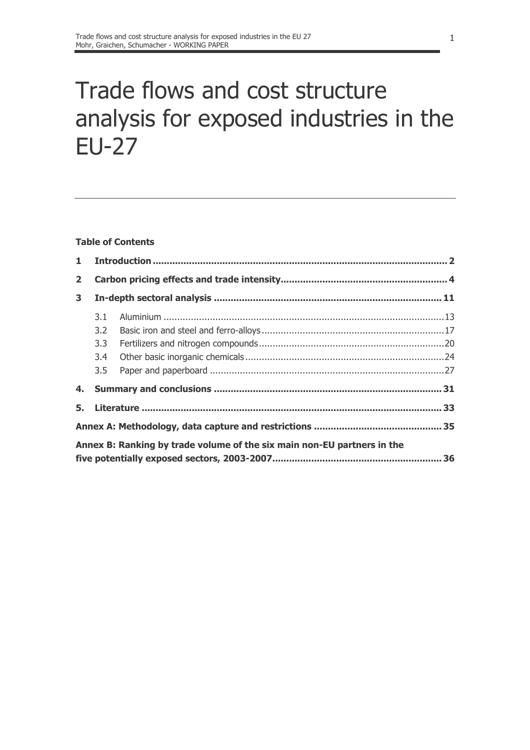# Trade flows and cost structure analysis for exposed industries in the **EU-27**

### **Table of Contents**

| $\mathbf{1}$ |                  |                                                                         |  |  |  |  |  |  |  |  |  |  |
|--------------|------------------|-------------------------------------------------------------------------|--|--|--|--|--|--|--|--|--|--|
| $\mathbf{2}$ |                  |                                                                         |  |  |  |  |  |  |  |  |  |  |
| 3            |                  |                                                                         |  |  |  |  |  |  |  |  |  |  |
|              | 3.1              |                                                                         |  |  |  |  |  |  |  |  |  |  |
|              | $3.2^{\circ}$    |                                                                         |  |  |  |  |  |  |  |  |  |  |
|              | 3.3 <sub>1</sub> |                                                                         |  |  |  |  |  |  |  |  |  |  |
|              | 3.4              |                                                                         |  |  |  |  |  |  |  |  |  |  |
|              | 3.5              |                                                                         |  |  |  |  |  |  |  |  |  |  |
|              |                  |                                                                         |  |  |  |  |  |  |  |  |  |  |
|              |                  |                                                                         |  |  |  |  |  |  |  |  |  |  |
|              |                  |                                                                         |  |  |  |  |  |  |  |  |  |  |
|              |                  | Annex B: Ranking by trade volume of the six main non-EU partners in the |  |  |  |  |  |  |  |  |  |  |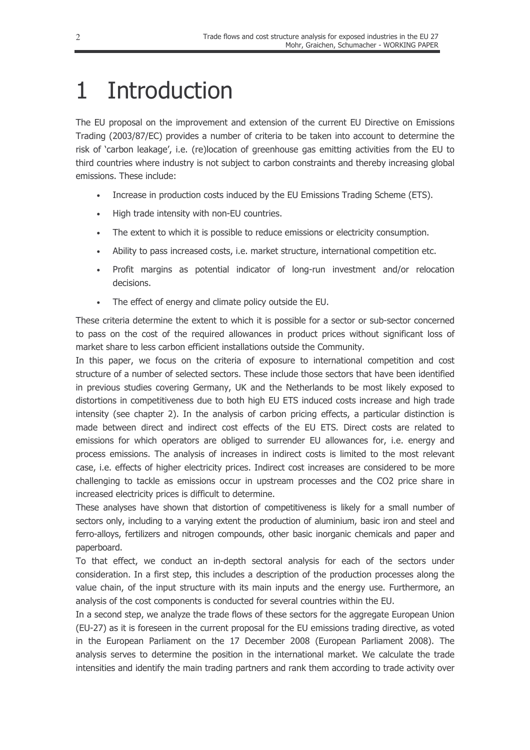### $\mathbf{1}$ Introduction

The EU proposal on the improvement and extension of the current EU Directive on Emissions Trading (2003/87/EC) provides a number of criteria to be taken into account to determine the risk of 'carbon leakage', i.e. (re)location of greenhouse gas emitting activities from the EU to third countries where industry is not subject to carbon constraints and thereby increasing global emissions. These include:

- Increase in production costs induced by the EU Emissions Trading Scheme (ETS).
- High trade intensity with non-EU countries.
- The extent to which it is possible to reduce emissions or electricity consumption.
- Ability to pass increased costs, i.e. market structure, international competition etc.  $\bullet$
- Profit margins as potential indicator of long-run investment and/or relocation  $\bullet$ decisions.
- The effect of energy and climate policy outside the EU.  $\bullet$

These criteria determine the extent to which it is possible for a sector or sub-sector concerned to pass on the cost of the required allowances in product prices without significant loss of market share to less carbon efficient installations outside the Community.

In this paper, we focus on the criteria of exposure to international competition and cost structure of a number of selected sectors. These include those sectors that have been identified in previous studies covering Germany, UK and the Netherlands to be most likely exposed to distortions in competitiveness due to both high EU ETS induced costs increase and high trade intensity (see chapter 2). In the analysis of carbon pricing effects, a particular distinction is made between direct and indirect cost effects of the EU ETS. Direct costs are related to emissions for which operators are obliged to surrender EU allowances for, i.e. energy and process emissions. The analysis of increases in indirect costs is limited to the most relevant case, i.e. effects of higher electricity prices. Indirect cost increases are considered to be more challenging to tackle as emissions occur in upstream processes and the CO2 price share in increased electricity prices is difficult to determine.

These analyses have shown that distortion of competitiveness is likely for a small number of sectors only, including to a varying extent the production of aluminium, basic iron and steel and ferro-alloys, fertilizers and nitrogen compounds, other basic inorganic chemicals and paper and paperboard.

To that effect, we conduct an in-depth sectoral analysis for each of the sectors under consideration. In a first step, this includes a description of the production processes along the value chain, of the input structure with its main inputs and the energy use. Furthermore, an analysis of the cost components is conducted for several countries within the EU.

In a second step, we analyze the trade flows of these sectors for the aggregate European Union (EU-27) as it is foreseen in the current proposal for the EU emissions trading directive, as voted in the European Parliament on the 17 December 2008 (European Parliament 2008). The analysis serves to determine the position in the international market. We calculate the trade intensities and identify the main trading partners and rank them according to trade activity over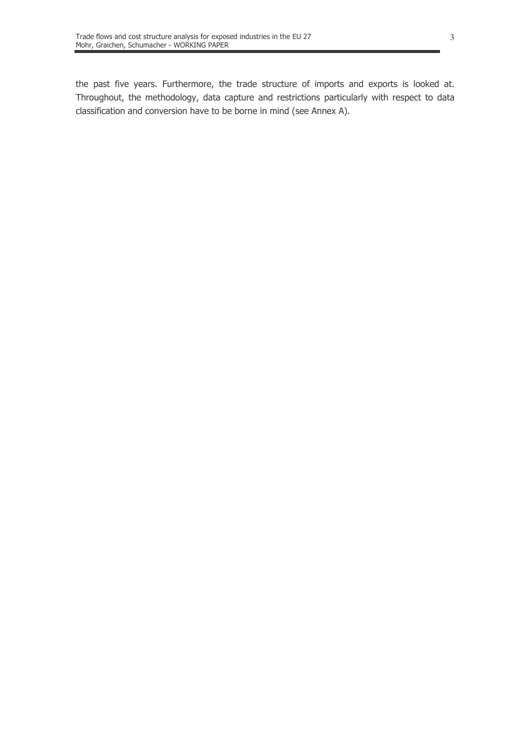the past five years. Furthermore, the trade structure of imports and exports is looked at. Throughout, the methodology, data capture and restrictions particularly with respect to data classification and conversion have to be borne in mind (see Annex A).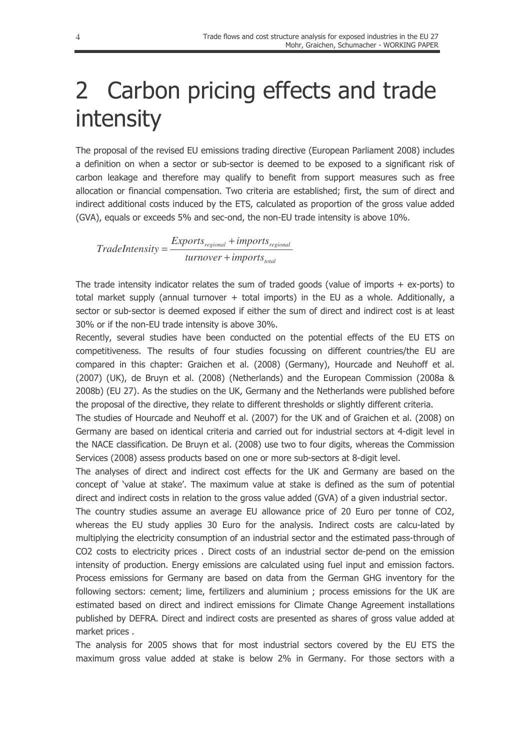## 2 Carbon pricing effects and trade intensity

The proposal of the revised EU emissions trading directive (European Parliament 2008) includes a definition on when a sector or sub-sector is deemed to be exposed to a significant risk of carbon leakage and therefore may qualify to benefit from support measures such as free allocation or financial compensation. Two criteria are established: first, the sum of direct and indirect additional costs induced by the ETS, calculated as proportion of the gross value added (GVA), equals or exceeds 5% and sec-ond, the non-EU trade intensity is above 10%.

 $\label{eq:rad} Trade Intensity = \frac{Express_{regional} + imports_{regional}}{turnover + imports_{total}}$ 

The trade intensity indicator relates the sum of traded goods (value of imports  $+$  ex-ports) to total market supply (annual turnover + total imports) in the EU as a whole. Additionally, a sector or sub-sector is deemed exposed if either the sum of direct and indirect cost is at least 30% or if the non-EU trade intensity is above 30%.

Recently, several studies have been conducted on the potential effects of the EU ETS on competitiveness. The results of four studies focussing on different countries/the EU are compared in this chapter: Graichen et al. (2008) (Germany), Hourcade and Neuhoff et al. (2007) (UK), de Bruyn et al. (2008) (Netherlands) and the European Commission (2008a & 2008b) (EU 27). As the studies on the UK, Germany and the Netherlands were published before the proposal of the directive, they relate to different thresholds or slightly different criteria.

The studies of Hourcade and Neuhoff et al. (2007) for the UK and of Graichen et al. (2008) on Germany are based on identical criteria and carried out for industrial sectors at 4-digit level in the NACE classification. De Bruyn et al. (2008) use two to four digits, whereas the Commission Services (2008) assess products based on one or more sub-sectors at 8-digit level.

The analyses of direct and indirect cost effects for the UK and Germany are based on the concept of 'value at stake'. The maximum value at stake is defined as the sum of potential direct and indirect costs in relation to the gross value added (GVA) of a given industrial sector.

The country studies assume an average EU allowance price of 20 Euro per tonne of CO2, whereas the EU study applies 30 Euro for the analysis. Indirect costs are calcu-lated by multiplying the electricity consumption of an industrial sector and the estimated pass-through of CO2 costs to electricity prices. Direct costs of an industrial sector de-pend on the emission intensity of production. Energy emissions are calculated using fuel input and emission factors. Process emissions for Germany are based on data from the German GHG inventory for the following sectors: cement; lime, fertilizers and aluminium; process emissions for the UK are estimated based on direct and indirect emissions for Climate Change Agreement installations published by DEFRA. Direct and indirect costs are presented as shares of gross value added at market prices.

The analysis for 2005 shows that for most industrial sectors covered by the EU ETS the maximum gross value added at stake is below 2% in Germany. For those sectors with a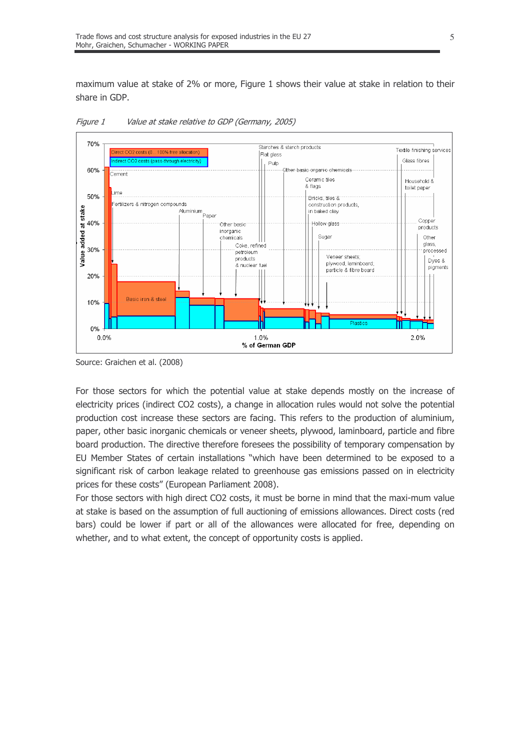maximum value at stake of 2% or more, Figure 1 shows their value at stake in relation to their share in GDP.



Figure 1 Value at stake relative to GDP (Germany, 2005)

For those sectors for which the potential value at stake depends mostly on the increase of electricity prices (indirect CO2 costs), a change in allocation rules would not solve the potential production cost increase these sectors are facing. This refers to the production of aluminium, paper, other basic inorganic chemicals or veneer sheets, plywood, laminboard, particle and fibre board production. The directive therefore foresees the possibility of temporary compensation by EU Member States of certain installations "which have been determined to be exposed to a significant risk of carbon leakage related to greenhouse gas emissions passed on in electricity prices for these costs" (European Parliament 2008).

For those sectors with high direct CO2 costs, it must be borne in mind that the maxi-mum value at stake is based on the assumption of full auctioning of emissions allowances. Direct costs (red bars) could be lower if part or all of the allowances were allocated for free, depending on whether, and to what extent, the concept of opportunity costs is applied.

Source: Graichen et al. (2008)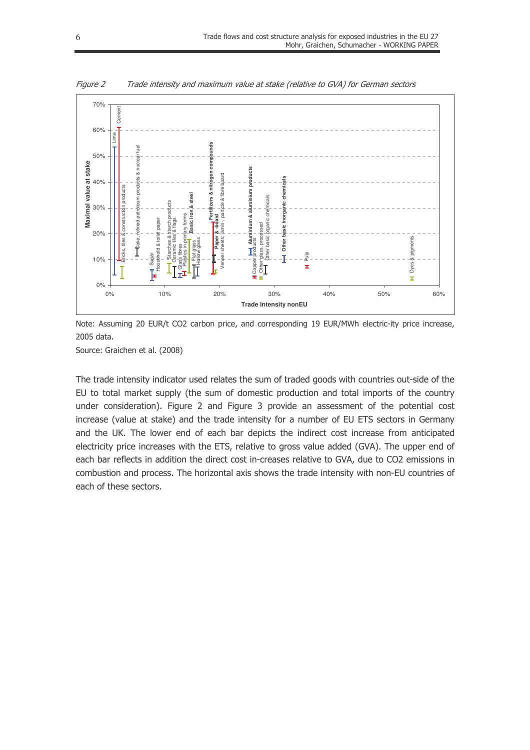

Figure 2 Trade intensity and maximum value at stake (relative to GVA) for German sectors

Note: Assuming 20 EUR/t CO2 carbon price, and corresponding 19 EUR/MWh electric-ity price increase, 2005 data.

Source: Graichen et al. (2008)

The trade intensity indicator used relates the sum of traded goods with countries out-side of the EU to total market supply (the sum of domestic production and total imports of the country under consideration). Figure 2 and Figure 3 provide an assessment of the potential cost increase (value at stake) and the trade intensity for a number of EU ETS sectors in Germany and the UK. The lower end of each bar depicts the indirect cost increase from anticipated electricity price increases with the ETS, relative to gross value added (GVA). The upper end of each bar reflects in addition the direct cost in-creases relative to GVA, due to CO2 emissions in combustion and process. The horizontal axis shows the trade intensity with non-EU countries of each of these sectors.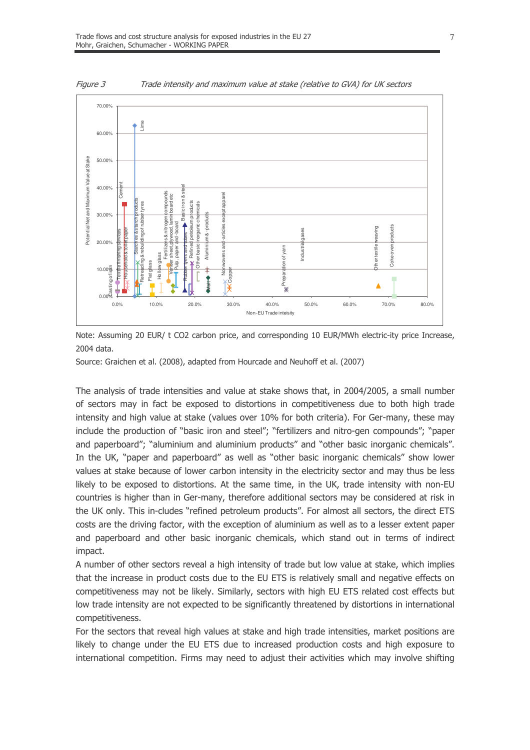

Figure 3 Trade intensity and maximum value at stake (relative to GVA) for UK sectors

Note: Assuming 20 EUR/ t CO2 carbon price, and corresponding 10 EUR/MWh electric-ity price Increase, 2004 data.

Source: Graichen et al. (2008), adapted from Hourcade and Neuhoff et al. (2007)

The analysis of trade intensities and value at stake shows that, in 2004/2005, a small number of sectors may in fact be exposed to distortions in competitiveness due to both high trade intensity and high value at stake (values over 10% for both criteria). For Ger-many, these may include the production of "basic iron and steel"; "fertilizers and nitro-gen compounds"; "paper and paperboard"; "aluminium and aluminium products" and "other basic inorganic chemicals". In the UK, "paper and paperboard" as well as "other basic inorganic chemicals" show lower values at stake because of lower carbon intensity in the electricity sector and may thus be less likely to be exposed to distortions. At the same time, in the UK, trade intensity with non-EU countries is higher than in Ger-many, therefore additional sectors may be considered at risk in the UK only. This in-cludes "refined petroleum products". For almost all sectors, the direct ETS costs are the driving factor, with the exception of aluminium as well as to a lesser extent paper and paperboard and other basic inorganic chemicals, which stand out in terms of indirect impact.

A number of other sectors reveal a high intensity of trade but low value at stake, which implies that the increase in product costs due to the EU ETS is relatively small and negative effects on competitiveness may not be likely. Similarly, sectors with high EU ETS related cost effects but low trade intensity are not expected to be significantly threatened by distortions in international competitiveness.

For the sectors that reveal high values at stake and high trade intensities, market positions are likely to change under the EU ETS due to increased production costs and high exposure to international competition. Firms may need to adjust their activities which may involve shifting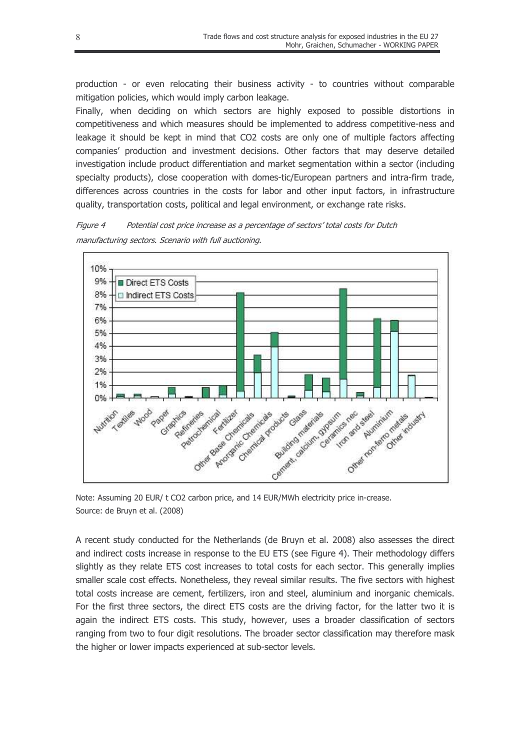production - or even relocating their business activity - to countries without comparable mitigation policies, which would imply carbon leakage.

Finally, when deciding on which sectors are highly exposed to possible distortions in competitiveness and which measures should be implemented to address competitive-ness and leakage it should be kept in mind that CO2 costs are only one of multiple factors affecting companies' production and investment decisions. Other factors that may deserve detailed investigation include product differentiation and market segmentation within a sector (including specialty products), close cooperation with domes-tic/European partners and intra-firm trade, differences across countries in the costs for labor and other input factors, in infrastructure quality, transportation costs, political and legal environment, or exchange rate risks.





Note: Assuming 20 EUR/ t CO2 carbon price, and 14 EUR/MWh electricity price in-crease. Source: de Bruyn et al. (2008)

A recent study conducted for the Netherlands (de Bruyn et al. 2008) also assesses the direct and indirect costs increase in response to the EU ETS (see Figure 4). Their methodology differs slightly as they relate ETS cost increases to total costs for each sector. This generally implies smaller scale cost effects. Nonetheless, they reveal similar results. The five sectors with highest total costs increase are cement, fertilizers, iron and steel, aluminium and inorganic chemicals. For the first three sectors, the direct ETS costs are the driving factor, for the latter two it is again the indirect ETS costs. This study, however, uses a broader classification of sectors ranging from two to four digit resolutions. The broader sector classification may therefore mask the higher or lower impacts experienced at sub-sector levels.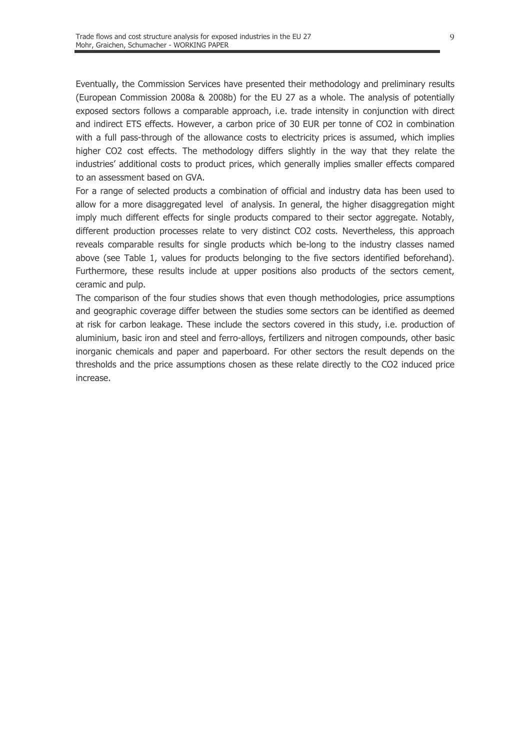Eventually, the Commission Services have presented their methodology and preliminary results (European Commission 2008a & 2008b) for the EU 27 as a whole. The analysis of potentially exposed sectors follows a comparable approach, i.e. trade intensity in conjunction with direct and indirect ETS effects. However, a carbon price of 30 EUR per tonne of CO2 in combination with a full pass-through of the allowance costs to electricity prices is assumed, which implies higher CO2 cost effects. The methodology differs slightly in the way that they relate the industries' additional costs to product prices, which generally implies smaller effects compared to an assessment based on GVA.

For a range of selected products a combination of official and industry data has been used to allow for a more disaggregated level of analysis. In general, the higher disaggregation might imply much different effects for single products compared to their sector aggregate. Notably, different production processes relate to very distinct CO2 costs. Nevertheless, this approach reveals comparable results for single products which be-long to the industry classes named above (see Table 1, values for products belonging to the five sectors identified beforehand). Furthermore, these results include at upper positions also products of the sectors cement, ceramic and pulp.

The comparison of the four studies shows that even though methodologies, price assumptions and geographic coverage differ between the studies some sectors can be identified as deemed at risk for carbon leakage. These include the sectors covered in this study, i.e. production of aluminium, basic iron and steel and ferro-alloys, fertilizers and nitrogen compounds, other basic inorganic chemicals and paper and paperboard. For other sectors the result depends on the thresholds and the price assumptions chosen as these relate directly to the CO2 induced price increase.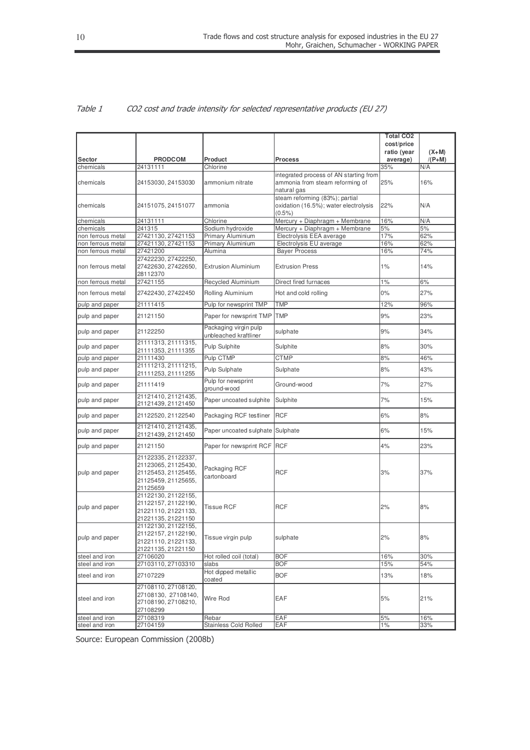|                   |                                                                                                      |                                                |                                                                                          | <b>Total CO2</b> |          |
|-------------------|------------------------------------------------------------------------------------------------------|------------------------------------------------|------------------------------------------------------------------------------------------|------------------|----------|
|                   |                                                                                                      |                                                |                                                                                          | cost/price       |          |
|                   |                                                                                                      |                                                |                                                                                          | ratio (year      | $(X+M)$  |
| Sector            | <b>PRODCOM</b>                                                                                       | Product                                        | <b>Process</b>                                                                           | average)         | $/(P+M)$ |
| chemicals         | 24131111                                                                                             | Chlorine                                       |                                                                                          | 35%              | N/A      |
| chemicals         | 24153030, 24153030                                                                                   | ammonium nitrate                               | integrated process of AN starting from<br>ammonia from steam reforming of<br>natural gas | 25%              | 16%      |
| chemicals         | 24151075, 24151077                                                                                   | ammonia                                        | steam reforming (83%); partial<br>oxidation (16.5%); water electrolysis<br>$(0.5\%)$     | 22%              | N/A      |
| chemicals         | 24131111                                                                                             | Chlorine                                       | Mercury + Diaphragm + Membrane                                                           | 16%              | N/A      |
| chemicals         | 241315                                                                                               | Sodium hydroxide                               | Mercury + Diaphragm + Membrane                                                           | 5%               | 5%       |
| non ferrous metal | 27421130, 27421153                                                                                   | Primary Aluminium                              | Electrolysis EEA average                                                                 | 17%              | 62%      |
| non ferrous metal | 27421130, 27421153                                                                                   | Primary Aluminium                              | Electrolysis EU average                                                                  | 16%              | 62%      |
| non ferrous metal | 27421200                                                                                             | Alumina                                        | <b>Bayer Process</b>                                                                     | 16%              | 74%      |
| non ferrous metal | 27422230, 27422250,<br>27422630, 27422650,<br>28112370                                               | <b>Extrusion Aluminium</b>                     | <b>Extrusion Press</b>                                                                   | $1\%$            | 14%      |
| non ferrous metal | 27421155                                                                                             | Recycled Aluminium                             | Direct fired furnaces                                                                    | 1%               | 6%       |
| non ferrous metal | 27422430, 27422450                                                                                   | Rolling Aluminium                              | Hot and cold rolling                                                                     | 0%               | 27%      |
| pulp and paper    | 21111415                                                                                             | Pulp for newsprint TMP                         | <b>TMP</b>                                                                               | 12%              | 96%      |
| pulp and paper    | 21121150                                                                                             | Paper for newsprint TMP                        | <b>TMP</b>                                                                               | 9%               | 23%      |
| pulp and paper    | 21122250                                                                                             | Packaging virgin pulp<br>unbleached kraftliner | sulphate                                                                                 | 9%               | 34%      |
| pulp and paper    | 21111313, 21111315,<br>21111353, 21111355                                                            | Pulp Sulphite                                  | Sulphite                                                                                 | 8%               | 30%      |
| pulp and paper    | 21111430                                                                                             | Pulp CTMP                                      | <b>CTMP</b>                                                                              | 8%               | 46%      |
| pulp and paper    | 21111213, 21111215,<br>21111253, 21111255                                                            | Pulp Sulphate                                  | Sulphate                                                                                 | 8%               | 43%      |
| pulp and paper    | 21111419                                                                                             | Pulp for newsprint<br>ground-wood              | Ground-wood                                                                              | 7%               | 27%      |
| pulp and paper    | 21121410, 21121435,<br>21121439, 21121450                                                            | Paper uncoated sulphite                        | Sulphite                                                                                 | 7%               | 15%      |
| pulp and paper    | 21122520, 21122540                                                                                   | Packaging RCF testliner                        | <b>RCF</b>                                                                               | 6%               | 8%       |
| pulp and paper    | 21121410, 21121435,<br>21121439, 21121450                                                            | Paper uncoated sulphate Sulphate               |                                                                                          | 6%               | 15%      |
| pulp and paper    | 21121150                                                                                             | Paper for newsprint RCF RCF                    |                                                                                          | 4%               | 23%      |
| pulp and paper    | 21122335, 21122337,<br>21123065, 21125430,<br>21125453, 21125455,<br>21125459, 21125655,<br>21125659 | Packaging RCF<br>cartonboard                   | <b>RCF</b>                                                                               | 3%               | 37%      |
| pulp and paper    | 21122130, 21122155,<br>21122157, 21122190,<br>21221110, 21221133,<br>21221135, 21221150              | <b>Tissue RCF</b>                              | <b>RCF</b>                                                                               | 2%               | 8%       |
| pulp and paper    | 21122130, 21122155,<br>21122157, 21122190,<br>21221110, 21221133,<br>21221135, 21221150              | Tissue virgin pulp                             | sulphate                                                                                 | 2%               | 8%       |
| steel and iron    | 27106020                                                                                             | Hot rolled coil (total)                        | <b>BOF</b>                                                                               | 16%              | 30%      |
| steel and iron    | 27103110, 27103310                                                                                   | slabs                                          | <b>BOF</b>                                                                               | 15%              | 54%      |
| steel and iron    | 27107229                                                                                             | Hot dipped metallic<br>coated                  | <b>BOF</b>                                                                               | 13%              | 18%      |
| steel and iron    | 27108110, 27108120,<br>27108130, 27108140,<br>27108190, 27108210,<br>27108299                        | Wire Rod                                       | EAF                                                                                      | 5%               | 21%      |
| steel and iron    | 27108319                                                                                             | Rebar                                          | EAF                                                                                      | 5%               | 16%      |
| steel and iron    | 27104159                                                                                             | <b>Stainless Cold Rolled</b>                   | EAF                                                                                      | $1\%$            | 33%      |

#### Table 1 CO2 cost and trade intensity for selected representative products (EU 27)

Source: European Commission (2008b)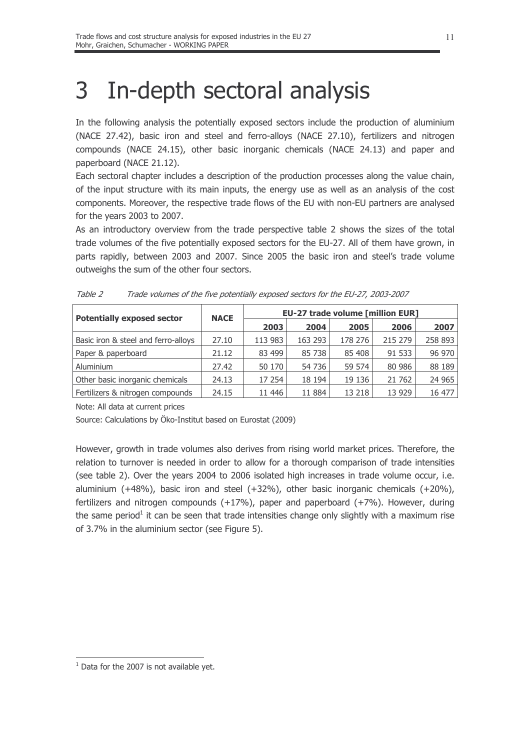### In-depth sectoral analysis 3

In the following analysis the potentially exposed sectors include the production of aluminium (NACE 27.42), basic iron and steel and ferro-alloys (NACE 27.10), fertilizers and nitrogen compounds (NACE 24.15), other basic inorganic chemicals (NACE 24.13) and paper and paperboard (NACE 21.12).

Each sectoral chapter includes a description of the production processes along the value chain, of the input structure with its main inputs, the energy use as well as an analysis of the cost components. Moreover, the respective trade flows of the EU with non-EU partners are analysed for the years 2003 to 2007.

As an introductory overview from the trade perspective table 2 shows the sizes of the total trade volumes of the five potentially exposed sectors for the EU-27. All of them have grown, in parts rapidly, between 2003 and 2007. Since 2005 the basic iron and steel's trade volume outweighs the sum of the other four sectors.

| <b>Potentially exposed sector</b>   | <b>NACE</b> | <b>EU-27 trade volume [million EUR]</b> |         |         |         |         |  |  |  |
|-------------------------------------|-------------|-----------------------------------------|---------|---------|---------|---------|--|--|--|
|                                     |             | 2003                                    | 2004    | 2005    | 2006    | 2007    |  |  |  |
| Basic iron & steel and ferro-alloys | 27.10       | 113 983                                 | 163 293 | 178 276 | 215 279 | 258 893 |  |  |  |
| Paper & paperboard                  | 21.12       | 83 499                                  | 85 738  | 85 408  | 91 533  | 96 970  |  |  |  |
| Aluminium                           | 27.42       | 50 170                                  | 54 736  | 59 574  | 80 986  | 88 189  |  |  |  |
| Other basic inorganic chemicals     | 24.13       | 17 254                                  | 18 194  | 19 13 6 | 21 762  | 24 9 65 |  |  |  |
| Fertilizers & nitrogen compounds    | 24.15       | 11 446                                  | 11 884  | 13 218  | 13 9 29 | 16 477  |  |  |  |

| <i>Table 2</i> | Trade volumes of the five potentially exposed sectors for the EU-27, 2003-2007 |  |
|----------------|--------------------------------------------------------------------------------|--|
|----------------|--------------------------------------------------------------------------------|--|

Note: All data at current prices

Source: Calculations by Öko-Institut based on Eurostat (2009)

However, growth in trade volumes also derives from rising world market prices. Therefore, the relation to turnover is needed in order to allow for a thorough comparison of trade intensities (see table 2). Over the years 2004 to 2006 isolated high increases in trade volume occur, i.e. aluminium (+48%), basic iron and steel (+32%), other basic inorganic chemicals (+20%), fertilizers and nitrogen compounds  $(+17%)$ , paper and paperboard  $(+7%)$ . However, during the same period<sup>1</sup> it can be seen that trade intensities change only slightly with a maximum rise of 3.7% in the aluminium sector (see Figure 5).

 $1$  Data for the 2007 is not available yet.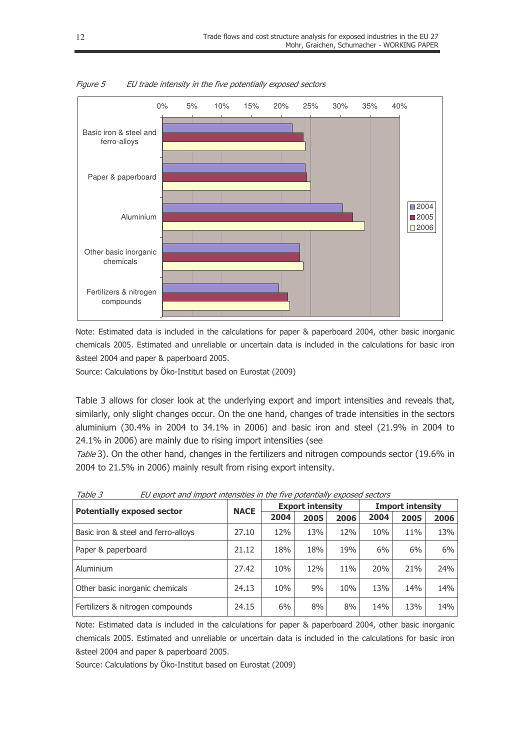

Figure 5 EU trade intensity in the five potentially exposed sectors

Note: Estimated data is included in the calculations for paper & paperboard 2004, other basic inorganic chemicals 2005. Estimated and unreliable or uncertain data is included in the calculations for basic iron &steel 2004 and paper & paperboard 2005.

Source: Calculations by Öko-Institut based on Eurostat (2009)

Table 3 allows for closer look at the underlying export and import intensities and reveals that, similarly, only slight changes occur. On the one hand, changes of trade intensities in the sectors aluminium (30.4% in 2004 to 34.1% in 2006) and basic iron and steel (21.9% in 2004 to 24.1% in 2006) are mainly due to rising import intensities (see

Table 3). On the other hand, changes in the fertilizers and nitrogen compounds sector (19.6% in 2004 to 21.5% in 2006) mainly result from rising export intensity.

| <b>Potentially exposed sector</b>   | <b>NACE</b> |       | <b>Export intensity</b> |      | <b>Import intensity</b> |      |      |  |
|-------------------------------------|-------------|-------|-------------------------|------|-------------------------|------|------|--|
|                                     |             | 2004  | 2005                    | 2006 | 2004                    | 2005 | 2006 |  |
| Basic iron & steel and ferro-alloys | 27.10       | 12%   | 13%                     | 12%  | 10%                     | 11%  | 13%  |  |
| Paper & paperboard                  | 21.12       | 18%   | 18%                     | 19%  | 6%                      | 6%   | 6%   |  |
| Aluminium                           | 27.42       | 10%   | 12%                     | 11%  | 20%                     | 21%  | 24%  |  |
| Other basic inorganic chemicals     | 24.13       | 10%   | 9%                      | 10%  | 13%                     | 14%  | 14%  |  |
| Fertilizers & nitrogen compounds    | 24.15       | $6\%$ | 8%                      | 8%   | 14%                     | 13%  | 14%  |  |

Table 3 EU export and import intensities in the five potentially exposed sectors

Note: Estimated data is included in the calculations for paper & paperboard 2004, other basic inorganic chemicals 2005. Estimated and unreliable or uncertain data is included in the calculations for basic iron &steel 2004 and paper & paperboard 2005.

Source: Calculations by Öko-Institut based on Eurostat (2009)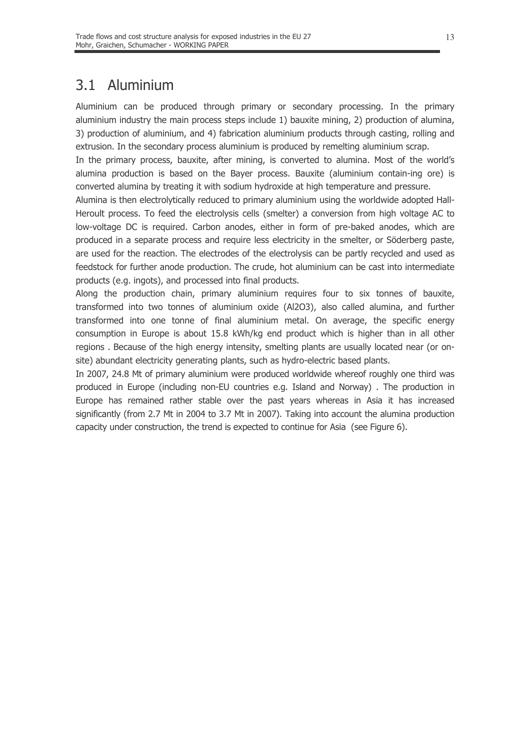#### Aluminium  $3.1$

Aluminium can be produced through primary or secondary processing. In the primary aluminium industry the main process steps include 1) bauxite mining, 2) production of alumina, 3) production of aluminium, and 4) fabrication aluminium products through casting, rolling and extrusion. In the secondary process aluminium is produced by remelting aluminium scrap.

In the primary process, bauxite, after mining, is converted to alumina. Most of the world's alumina production is based on the Bayer process. Bauxite (aluminium contain-ing ore) is converted alumina by treating it with sodium hydroxide at high temperature and pressure.

Alumina is then electrolytically reduced to primary aluminium using the worldwide adopted Hall-Heroult process. To feed the electrolysis cells (smelter) a conversion from high voltage AC to low-voltage DC is required. Carbon anodes, either in form of pre-baked anodes, which are produced in a separate process and require less electricity in the smelter, or Söderberg paste, are used for the reaction. The electrodes of the electrolysis can be partly recycled and used as feedstock for further anode production. The crude, hot aluminium can be cast into intermediate products (e.g. ingots), and processed into final products.

Along the production chain, primary aluminium requires four to six tonnes of bauxite, transformed into two tonnes of aluminium oxide (Al2O3), also called alumina, and further transformed into one tonne of final aluminium metal. On average, the specific energy consumption in Europe is about 15.8 kWh/kg end product which is higher than in all other regions. Because of the high energy intensity, smelting plants are usually located near (or onsite) abundant electricity generating plants, such as hydro-electric based plants.

In 2007, 24.8 Mt of primary aluminium were produced worldwide whereof roughly one third was produced in Europe (including non-EU countries e.g. Island and Norway). The production in Europe has remained rather stable over the past years whereas in Asia it has increased significantly (from 2.7 Mt in 2004 to 3.7 Mt in 2007). Taking into account the alumina production capacity under construction, the trend is expected to continue for Asia (see Figure 6).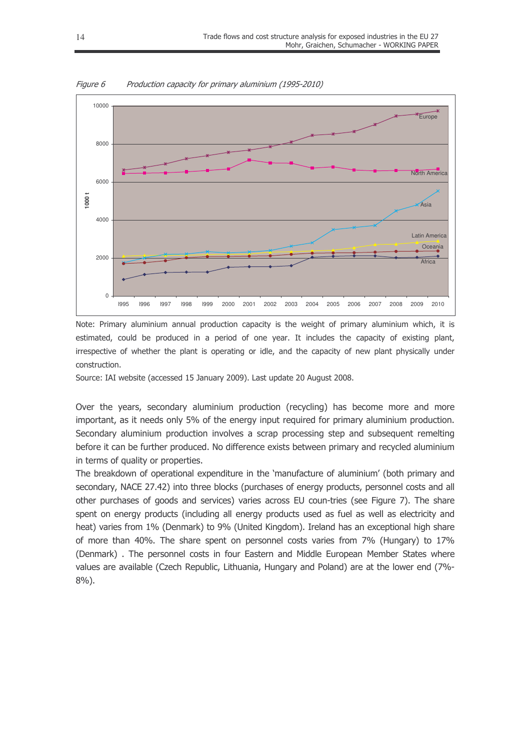

Figure 6 Production capacity for primary aluminium (1995-2010)

Note: Primary aluminium annual production capacity is the weight of primary aluminium which, it is estimated, could be produced in a period of one year. It includes the capacity of existing plant, irrespective of whether the plant is operating or idle, and the capacity of new plant physically under construction.

Source: IAI website (accessed 15 January 2009), Last update 20 August 2008.

Over the years, secondary aluminium production (recycling) has become more and more important, as it needs only 5% of the energy input required for primary aluminium production. Secondary aluminium production involves a scrap processing step and subsequent remelting before it can be further produced. No difference exists between primary and recycled aluminium in terms of quality or properties.

The breakdown of operational expenditure in the 'manufacture of aluminium' (both primary and secondary, NACE 27.42) into three blocks (purchases of energy products, personnel costs and all other purchases of goods and services) varies across EU coun-tries (see Figure 7). The share spent on energy products (including all energy products used as fuel as well as electricity and heat) varies from 1% (Denmark) to 9% (United Kingdom). Ireland has an exceptional high share of more than 40%. The share spent on personnel costs varies from 7% (Hungary) to 17% (Denmark) . The personnel costs in four Eastern and Middle European Member States where values are available (Czech Republic, Lithuania, Hungary and Poland) are at the lower end (7%- $8\%$ ).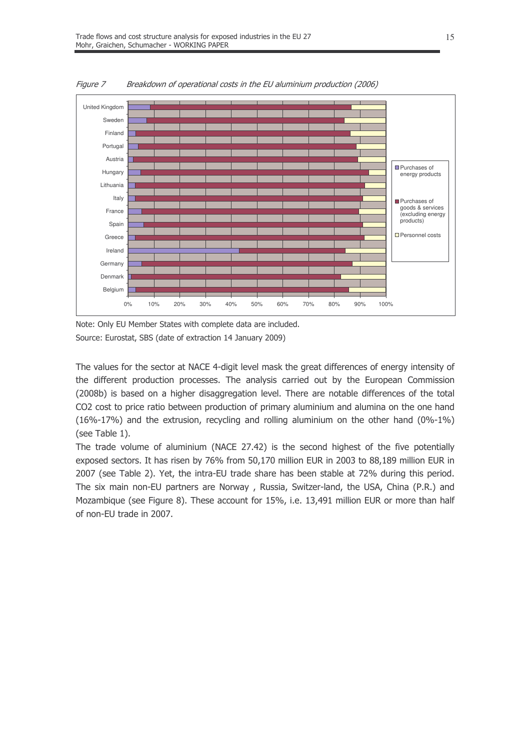

Figure 7 Breakdown of operational costs in the EU aluminium production (2006)

Note: Only EU Member States with complete data are included. Source: Eurostat, SBS (date of extraction 14 January 2009)

The values for the sector at NACE 4-digit level mask the great differences of energy intensity of the different production processes. The analysis carried out by the European Commission (2008b) is based on a higher disaggregation level. There are notable differences of the total CO2 cost to price ratio between production of primary aluminium and alumina on the one hand  $(16\% - 17\%)$  and the extrusion, recycling and rolling aluminium on the other hand  $(0\% - 1\%)$ (see Table 1).

The trade volume of aluminium (NACE 27.42) is the second highest of the five potentially exposed sectors. It has risen by 76% from 50,170 million EUR in 2003 to 88,189 million EUR in 2007 (see Table 2). Yet, the intra-EU trade share has been stable at 72% during this period. The six main non-EU partners are Norway, Russia, Switzer-land, the USA, China (P.R.) and Mozambique (see Figure 8). These account for 15%, i.e. 13,491 million EUR or more than half of non-EU trade in 2007.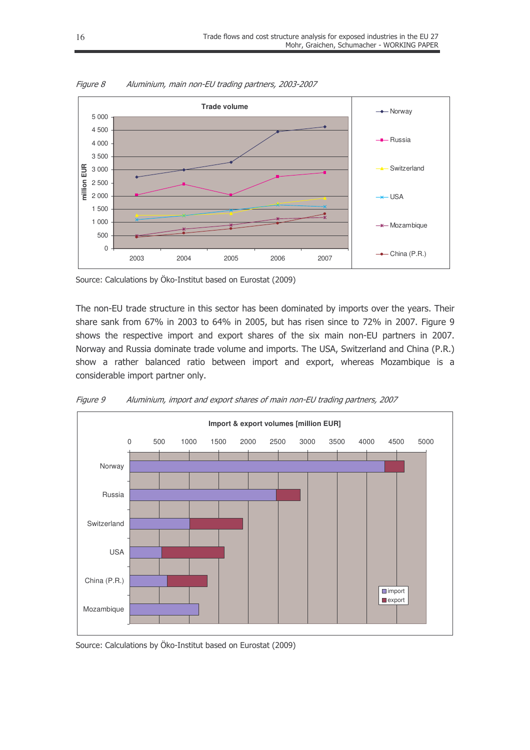

Figure 8 Aluminium, main non-EU trading partners, 2003-2007

Source: Calculations by Öko-Institut based on Eurostat (2009)

The non-EU trade structure in this sector has been dominated by imports over the years. Their share sank from  $67\%$  in 2003 to  $64\%$  in 2005, but has risen since to 72% in 2007. Figure 9 shows the respective import and export shares of the six main non-EU partners in 2007. Norway and Russia dominate trade volume and imports. The USA, Switzerland and China (P.R.) show a rather balanced ratio between import and export, whereas Mozambique is a considerable import partner only.



Figure 9 Mluminium, import and export shares of main non-EU trading partners, 2007

Source: Calculations by Öko-Institut based on Eurostat (2009)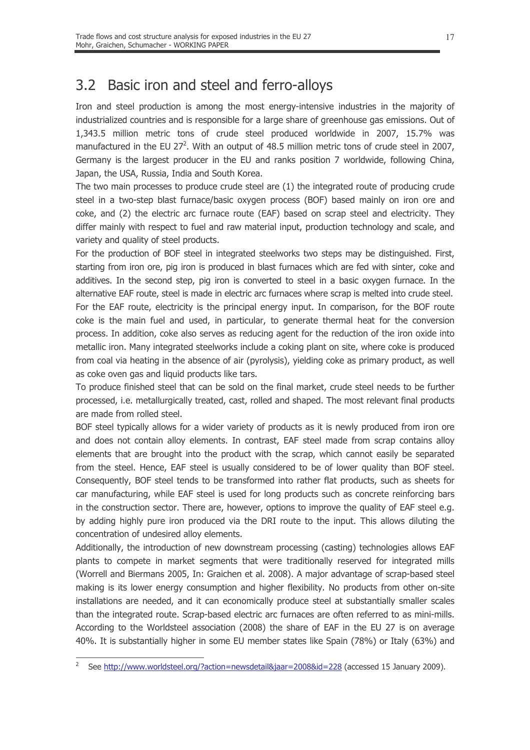#### Basic iron and steel and ferro-alloys  $3.2$

Iron and steel production is among the most energy-intensive industries in the majority of industrialized countries and is responsible for a large share of greenhouse gas emissions. Out of 1,343.5 million metric tons of crude steel produced worldwide in 2007, 15.7% was manufactured in the EU 27<sup>2</sup>. With an output of 48.5 million metric tons of crude steel in 2007, Germany is the largest producer in the EU and ranks position 7 worldwide, following China, Japan, the USA, Russia, India and South Korea.

The two main processes to produce crude steel are (1) the integrated route of producing crude steel in a two-step blast furnace/basic oxygen process (BOF) based mainly on iron ore and coke, and (2) the electric arc furnace route (EAF) based on scrap steel and electricity. They differ mainly with respect to fuel and raw material input, production technology and scale, and variety and quality of steel products.

For the production of BOF steel in integrated steelworks two steps may be distinguished. First, starting from iron ore, pig iron is produced in blast furnaces which are fed with sinter, coke and additives. In the second step, pig iron is converted to steel in a basic oxygen furnace. In the alternative EAF route, steel is made in electric arc furnaces where scrap is melted into crude steel. For the EAF route, electricity is the principal energy input. In comparison, for the BOF route coke is the main fuel and used, in particular, to generate thermal heat for the conversion process. In addition, coke also serves as reducing agent for the reduction of the iron oxide into metallic iron. Many integrated steelworks include a coking plant on site, where coke is produced from coal via heating in the absence of air (pyrolysis), yielding coke as primary product, as well as coke oven gas and liquid products like tars.

To produce finished steel that can be sold on the final market, crude steel needs to be further processed, i.e. metallurgically treated, cast, rolled and shaped. The most relevant final products are made from rolled steel.

BOF steel typically allows for a wider variety of products as it is newly produced from iron ore and does not contain alloy elements. In contrast, EAF steel made from scrap contains alloy elements that are brought into the product with the scrap, which cannot easily be separated from the steel. Hence, EAF steel is usually considered to be of lower quality than BOF steel. Consequently, BOF steel tends to be transformed into rather flat products, such as sheets for car manufacturing, while EAF steel is used for long products such as concrete reinforcing bars in the construction sector. There are, however, options to improve the quality of EAF steel e.g. by adding highly pure iron produced via the DRI route to the input. This allows diluting the concentration of undesired alloy elements.

Additionally, the introduction of new downstream processing (casting) technologies allows EAF plants to compete in market segments that were traditionally reserved for integrated mills (Worrell and Biermans 2005, In: Graichen et al. 2008). A major advantage of scrap-based steel making is its lower energy consumption and higher flexibility. No products from other on-site installations are needed, and it can economically produce steel at substantially smaller scales than the integrated route. Scrap-based electric arc furnaces are often referred to as mini-mills. According to the Worldsteel association (2008) the share of EAF in the EU 27 is on average 40%. It is substantially higher in some EU member states like Spain (78%) or Italy (63%) and

See http://www.worldsteel.org/?action=newsdetail&jaar=2008&id=228 (accessed 15 January 2009).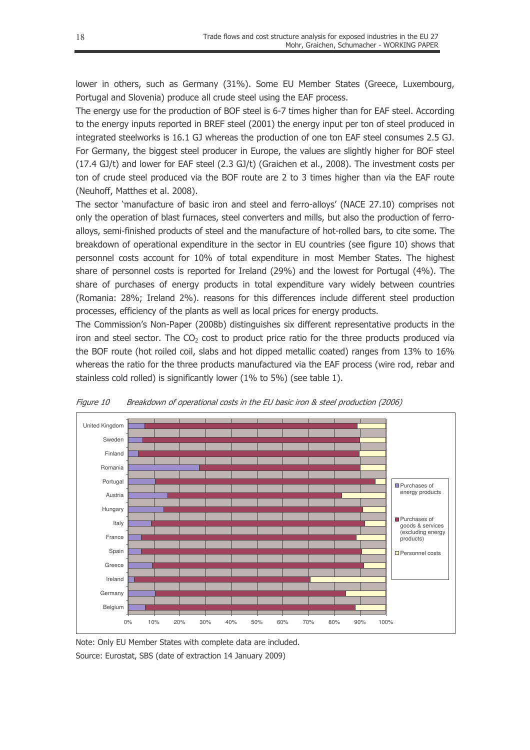lower in others, such as Germany (31%). Some EU Member States (Greece, Luxembourg, Portugal and Slovenia) produce all crude steel using the EAF process.

The energy use for the production of BOF steel is 6-7 times higher than for EAF steel. According to the energy inputs reported in BREF steel (2001) the energy input per ton of steel produced in integrated steelworks is  $16.1$  GJ whereas the production of one ton EAF steel consumes  $2.5$  GJ. For Germany, the biggest steel producer in Europe, the values are slightly higher for BOF steel  $(17.4 \text{ GJ/t})$  and lower for EAF steel  $(2.3 \text{ GJ/t})$  (Graichen et al., 2008). The investment costs per ton of crude steel produced via the BOF route are  $2$  to  $3$  times higher than via the EAF route (Neuhoff, Matthes et al. 2008).

The sector `manufacture of basic iron and steel and ferro-alloys' (NACE 27.10) comprises not only the operation of blast furnaces, steel converters and mills, but also the production of ferroalloys, semi-finished products of steel and the manufacture of hot-rolled bars, to cite some. The breakdown of operational expenditure in the sector in EU countries (see figure 10) shows that personnel costs account for 10% of total expenditure in most Member States. The highest share of personnel costs is reported for Ireland (29%) and the lowest for Portugal (4%). The share of purchases of energy products in total expenditure vary widely between countries (Romania: 28%; Ireland 2%), reasons for this differences include different steel production processes, efficiency of the plants as well as local prices for energy products.

The Commission's Non-Paper (2008b) distinguishes six different representative products in the iron and steel sector. The  $CO<sub>2</sub>$  cost to product price ratio for the three products produced via the BOF route (hot roiled coil, slabs and hot dipped metallic coated) ranges from 13% to 16% whereas the ratio for the three products manufactured via the EAF process (wire rod, rebar and stainless cold rolled) is significantly lower  $(1\%$  to 5%) (see table 1).



Figure 10 Breakdown of operational costs in the EU basic iron & steel production (2006)

Note: Only EU Member States with complete data are included. Source: Eurostat, SBS (date of extraction 14 January 2009)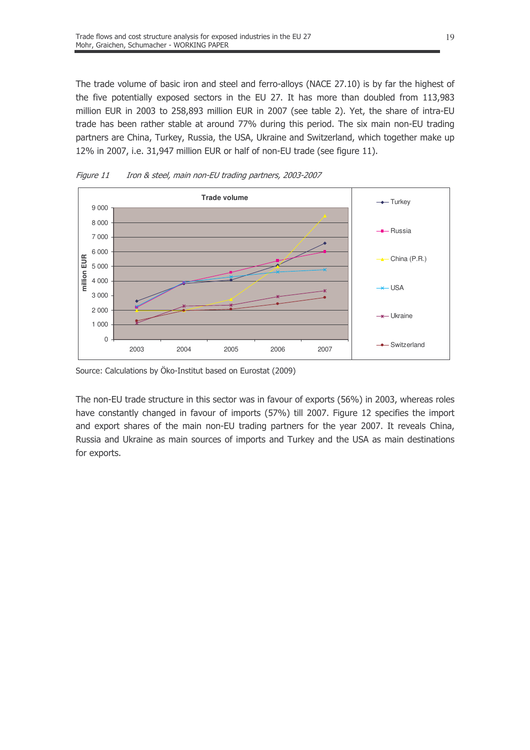The trade volume of basic iron and steel and ferro-alloys (NACE 27.10) is by far the highest of the five potentially exposed sectors in the EU 27. It has more than doubled from 113,983 million EUR in 2003 to 258,893 million EUR in 2007 (see table 2). Yet, the share of intra-EU trade has been rather stable at around 77% during this period. The six main non-EU trading partners are China, Turkey, Russia, the USA, Ukraine and Switzerland, which together make up 12% in 2007, i.e. 31,947 million EUR or half of non-EU trade (see figure 11).



Figure 11 Iron & steel, main non-EU trading partners, 2003-2007

Source: Calculations by Öko-Institut based on Eurostat (2009)

The non-EU trade structure in this sector was in favour of exports (56%) in 2003, whereas roles have constantly changed in favour of imports (57%) till 2007. Figure 12 specifies the import and export shares of the main non-EU trading partners for the year 2007. It reveals China, Russia and Ukraine as main sources of imports and Turkey and the USA as main destinations for exports.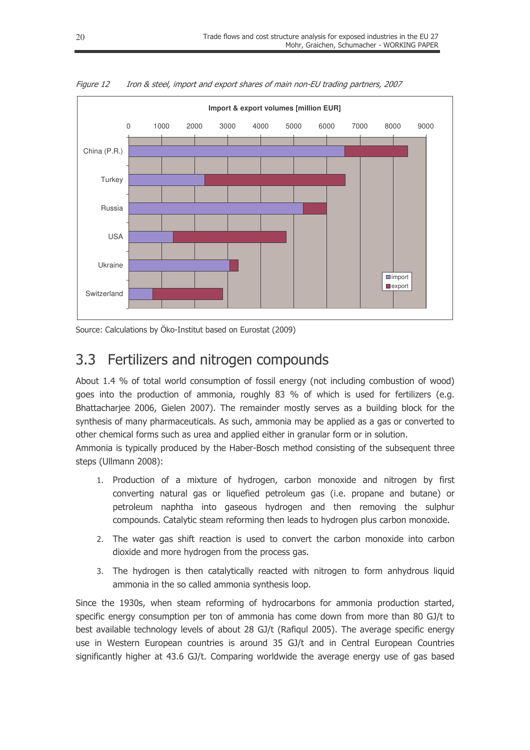

Figure 12 Iron & steel, import and export shares of main non-EU trading partners, 2007

Source: Calculations by Öko-Institut based on Eurostat (2009)

#### Fertilizers and nitrogen compounds  $3.3$

About 1.4 % of total world consumption of fossil energy (not including combustion of wood) goes into the production of ammonia, roughly 83 % of which is used for fertilizers (e.g. Bhattacharjee 2006, Gielen 2007). The remainder mostly serves as a building block for the synthesis of many pharmaceuticals. As such, ammonia may be applied as a gas or converted to other chemical forms such as urea and applied either in granular form or in solution.

Ammonia is typically produced by the Haber-Bosch method consisting of the subsequent three steps (Ullmann 2008):

- 1. Production of a mixture of hydrogen, carbon monoxide and nitrogen by first converting natural gas or liquefied petroleum gas (i.e. propane and butane) or petroleum naphtha into gaseous hydrogen and then removing the sulphur compounds. Catalytic steam reforming then leads to hydrogen plus carbon monoxide.
- 2. The water gas shift reaction is used to convert the carbon monoxide into carbon dioxide and more hydrogen from the process gas.
- 3. The hydrogen is then catalytically reacted with nitrogen to form anhydrous liquid ammonia in the so called ammonia synthesis loop.

Since the 1930s, when steam reforming of hydrocarbons for ammonia production started, specific energy consumption per ton of ammonia has come down from more than 80 GJ/t to best available technology levels of about 28 GJ/t (Rafigul 2005). The average specific energy use in Western European countries is around 35 GJ/t and in Central European Countries significantly higher at 43.6 GJ/t. Comparing worldwide the average energy use of gas based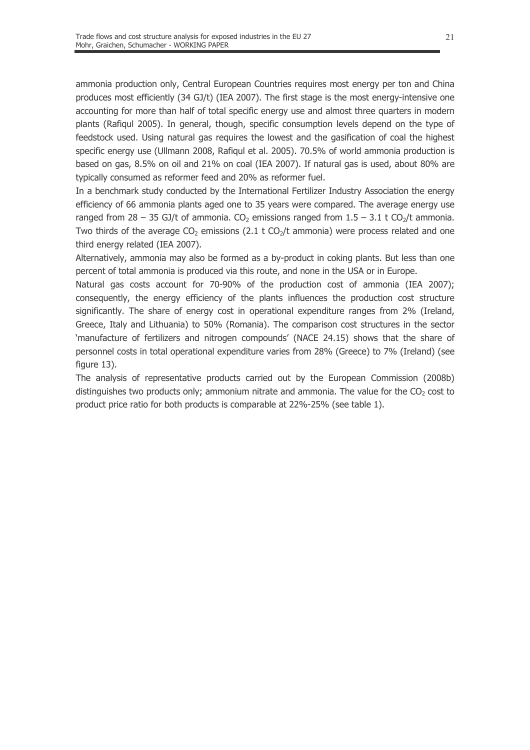ammonia production only, Central European Countries requires most energy per ton and China produces most efficiently (34 GJ/t) (IEA 2007). The first stage is the most energy-intensive one accounting for more than half of total specific energy use and almost three quarters in modern plants (Rafigul 2005). In general, though, specific consumption levels depend on the type of feedstock used. Using natural gas requires the lowest and the gasification of coal the highest specific energy use (Ullmann 2008, Rafiqul et al. 2005). 70.5% of world ammonia production is based on gas, 8.5% on oil and 21% on coal (IEA 2007). If natural gas is used, about 80% are typically consumed as reformer feed and 20% as reformer fuel.

In a benchmark study conducted by the International Fertilizer Industry Association the energy efficiency of 66 ammonia plants aged one to 35 years were compared. The average energy use ranged from 28 - 35 GJ/t of ammonia. CO<sub>2</sub> emissions ranged from 1.5 - 3.1 t CO<sub>2</sub>/t ammonia. Two thirds of the average  $CO<sub>2</sub>$  emissions (2.1 t  $CO<sub>2</sub>/t$  ammonia) were process related and one third energy related (IEA 2007).

Alternatively, ammonia may also be formed as a by-product in coking plants. But less than one percent of total ammonia is produced via this route, and none in the USA or in Europe.

Natural gas costs account for 70-90% of the production cost of ammonia (IEA 2007); consequently, the energy efficiency of the plants influences the production cost structure significantly. The share of energy cost in operational expenditure ranges from 2% (Ireland, Greece, Italy and Lithuania) to 50% (Romania). The comparison cost structures in the sector 'manufacture of fertilizers and nitrogen compounds' (NACE 24.15) shows that the share of personnel costs in total operational expenditure varies from 28% (Greece) to 7% (Ireland) (see figure 13).

The analysis of representative products carried out by the European Commission (2008b) distinguishes two products only; ammonium nitrate and ammonia. The value for the  $CO<sub>2</sub>$  cost to product price ratio for both products is comparable at 22%-25% (see table 1).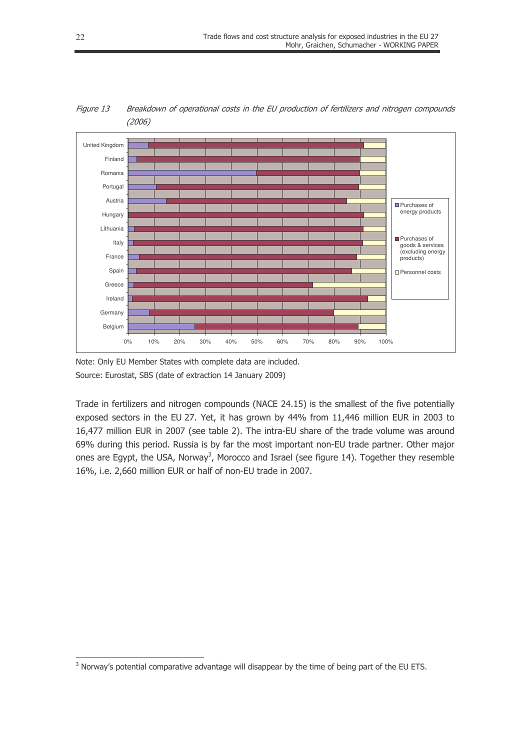

Figure 13 Breakdown of operational costs in the EU production of fertilizers and nitrogen compounds  $(2006)$ 

Note: Only EU Member States with complete data are included. Source: Eurostat, SBS (date of extraction 14 January 2009)

Trade in fertilizers and nitrogen compounds (NACE 24.15) is the smallest of the five potentially exposed sectors in the EU 27. Yet, it has grown by 44% from 11,446 million EUR in 2003 to 16,477 million EUR in 2007 (see table 2). The intra-EU share of the trade volume was around 69% during this period. Russia is by far the most important non-EU trade partner. Other major ones are Egypt, the USA, Norway<sup>3</sup>, Morocco and Israel (see figure 14). Together they resemble 16%, i.e. 2,660 million EUR or half of non-EU trade in 2007.

<sup>&</sup>lt;sup>3</sup> Norway's potential comparative advantage will disappear by the time of being part of the EU ETS.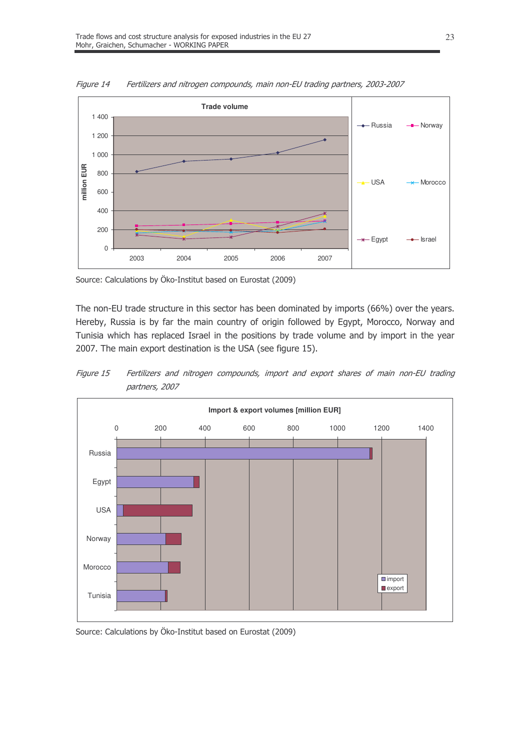

Figure 14 Fertilizers and nitrogen compounds, main non-EU trading partners, 2003-2007

Source: Calculations by Öko-Institut based on Eurostat (2009)

The non-EU trade structure in this sector has been dominated by imports (66%) over the years. Hereby, Russia is by far the main country of origin followed by Egypt, Morocco, Norway and Tunisia which has replaced Israel in the positions by trade volume and by import in the year 2007. The main export destination is the USA (see figure 15).



Figure 15 Fertilizers and nitrogen compounds, import and export shares of main non-EU trading partners, 2007

Source: Calculations by Öko-Institut based on Eurostat (2009)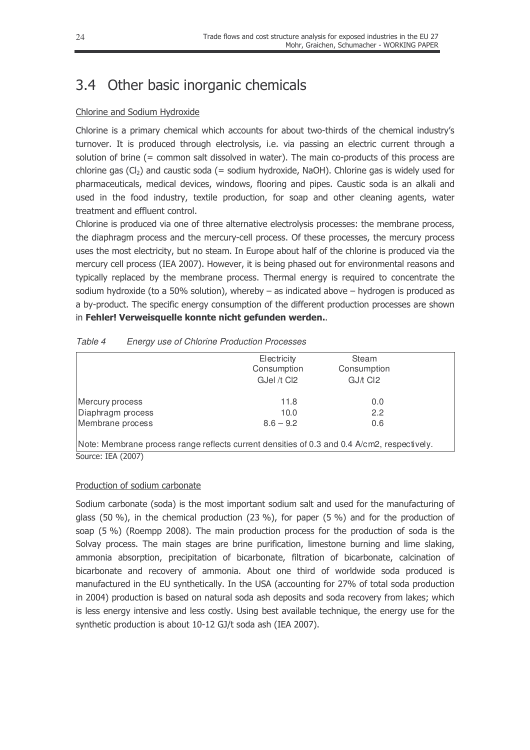### 3.4 Other basic inorganic chemicals

#### Chlorine and Sodium Hydroxide

Chlorine is a primary chemical which accounts for about two-thirds of the chemical industry's turnover. It is produced through electrolysis, i.e. via passing an electric current through a solution of brine (= common salt dissolved in water). The main co-products of this process are chlorine gas (Cl<sub>2</sub>) and caustic soda (= sodium hydroxide, NaOH). Chlorine gas is widely used for pharmaceuticals, medical devices, windows, flooring and pipes. Caustic soda is an alkali and used in the food industry, textile production, for soap and other cleaning agents, water treatment and effluent control.

Chlorine is produced via one of three alternative electrolysis processes: the membrane process, the diaphragm process and the mercury-cell process. Of these processes, the mercury process uses the most electricity, but no steam. In Europe about half of the chlorine is produced via the mercury cell process (IEA 2007). However, it is being phased out for environmental reasons and typically replaced by the membrane process. Thermal energy is required to concentrate the sodium hydroxide (to a 50% solution), whereby  $-$  as indicated above  $-$  hydrogen is produced as a by-product. The specific energy consumption of the different production processes are shown in Fehler! Verweisquelle konnte nicht gefunden werden...

|                                                                                             | Electricity<br>Consumption<br>GJel /t Cl2 | Steam<br>Consumption<br>GJ/t CI2 |  |  |  |  |  |  |  |  |
|---------------------------------------------------------------------------------------------|-------------------------------------------|----------------------------------|--|--|--|--|--|--|--|--|
| Mercury process                                                                             | 11.8                                      | 0.0                              |  |  |  |  |  |  |  |  |
| Diaphragm process                                                                           | 10.0                                      | 2.2                              |  |  |  |  |  |  |  |  |
| Membrane process                                                                            | $8.6 - 9.2$                               | 0.6                              |  |  |  |  |  |  |  |  |
| Note: Membrane process range reflects current densities of 0.3 and 0.4 A/cm2, respectively. |                                           |                                  |  |  |  |  |  |  |  |  |
| Source: IEA (2007)                                                                          |                                           |                                  |  |  |  |  |  |  |  |  |

| Table 4 | <b>Energy use of Chlorine Production Processes</b> |  |  |
|---------|----------------------------------------------------|--|--|
|         |                                                    |  |  |

#### Production of sodium carbonate

Sodium carbonate (soda) is the most important sodium salt and used for the manufacturing of glass (50 %), in the chemical production (23 %), for paper (5 %) and for the production of soap (5 %) (Roempp 2008). The main production process for the production of soda is the Solvay process. The main stages are brine purification, limestone burning and lime slaking, ammonia absorption, precipitation of bicarbonate, filtration of bicarbonate, calcination of bicarbonate and recovery of ammonia. About one third of worldwide soda produced is manufactured in the EU synthetically. In the USA (accounting for 27% of total soda production in 2004) production is based on natural soda ash deposits and soda recovery from lakes; which is less energy intensive and less costly. Using best available technique, the energy use for the synthetic production is about 10-12 GJ/t soda ash (IEA 2007).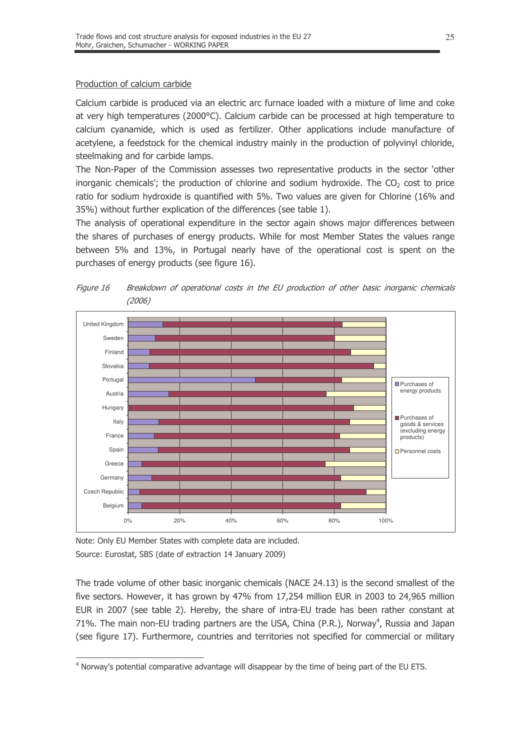#### Production of calcium carbide

Calcium carbide is produced via an electric arc furnace loaded with a mixture of lime and coke at very high temperatures (2000°C). Calcium carbide can be processed at high temperature to calcium cyanamide, which is used as fertilizer. Other applications include manufacture of acetylene, a feedstock for the chemical industry mainly in the production of polyvinyl chloride, steelmaking and for carbide lamps.

The Non-Paper of the Commission assesses two representative products in the sector 'other inorganic chemicals'; the production of chlorine and sodium hydroxide. The  $CO<sub>2</sub>$  cost to price ratio for sodium hydroxide is quantified with 5%. Two values are given for Chlorine (16% and 35%) without further explication of the differences (see table 1).

The analysis of operational expenditure in the sector again shows major differences between the shares of purchases of energy products. While for most Member States the values range between 5% and 13%, in Portugal nearly have of the operational cost is spent on the purchases of energy products (see figure 16).



Breakdown of operational costs in the EU production of other basic inorganic chemicals Figure 16  $(2006)$ 

Note: Only EU Member States with complete data are included. Source: Eurostat, SBS (date of extraction 14 January 2009)

The trade volume of other basic inorganic chemicals (NACE 24.13) is the second smallest of the five sectors. However, it has grown by 47% from 17,254 million EUR in 2003 to 24,965 million EUR in 2007 (see table 2). Hereby, the share of intra-EU trade has been rather constant at 71%. The main non-EU trading partners are the USA, China (P.R.), Norway<sup>4</sup>, Russia and Japan (see figure 17). Furthermore, countries and territories not specified for commercial or military

<sup>&</sup>lt;sup>4</sup> Norway's potential comparative advantage will disappear by the time of being part of the EU ETS.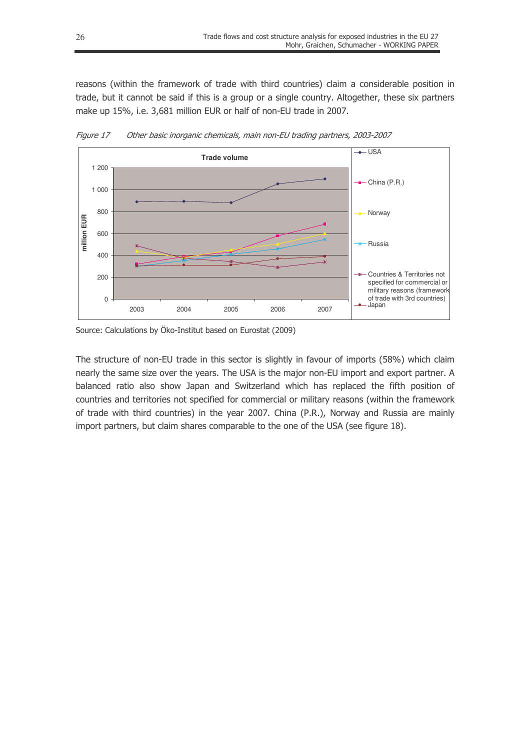reasons (within the framework of trade with third countries) claim a considerable position in trade, but it cannot be said if this is a group or a single country. Altogether, these six partners make up 15%, i.e. 3,681 million EUR or half of non-EU trade in 2007.



Figure 17 Other basic inorganic chemicals, main non-EU trading partners, 2003-2007

The structure of non-EU trade in this sector is slightly in favour of imports (58%) which claim nearly the same size over the years. The USA is the major non-EU import and export partner. A balanced ratio also show Japan and Switzerland which has replaced the fifth position of countries and territories not specified for commercial or military reasons (within the framework of trade with third countries) in the year 2007. China (P.R.), Norway and Russia are mainly import partners, but claim shares comparable to the one of the USA (see figure 18).

Source: Calculations by Öko-Institut based on Eurostat (2009)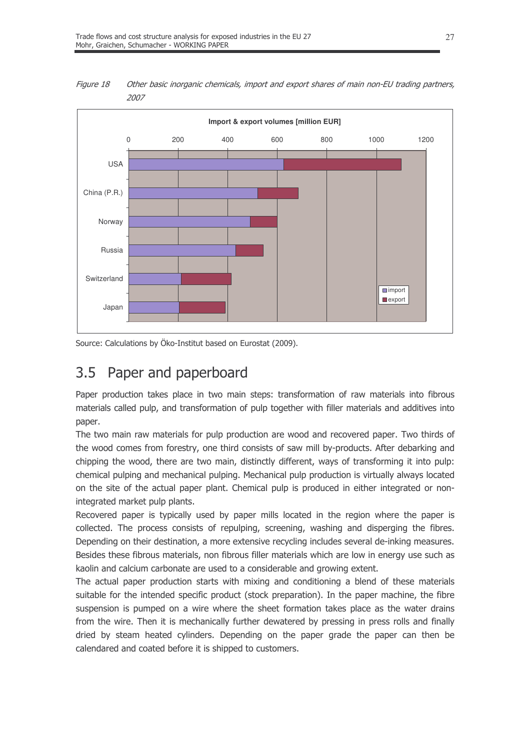

Figure 18 Other basic inorganic chemicals, import and export shares of main non-EU trading partners, 2007

Source: Calculations by Öko-Institut based on Eurostat (2009).

#### Paper and paperboard  $3.5$

Paper production takes place in two main steps: transformation of raw materials into fibrous materials called pulp, and transformation of pulp together with filler materials and additives into paper.

The two main raw materials for pulp production are wood and recovered paper. Two thirds of the wood comes from forestry, one third consists of saw mill by-products. After debarking and chipping the wood, there are two main, distinctly different, ways of transforming it into pulp: chemical pulping and mechanical pulping. Mechanical pulp production is virtually always located on the site of the actual paper plant. Chemical pulp is produced in either integrated or nonintegrated market pulp plants.

Recovered paper is typically used by paper mills located in the region where the paper is collected. The process consists of repulping, screening, washing and disperging the fibres. Depending on their destination, a more extensive recycling includes several de-inking measures. Besides these fibrous materials, non fibrous filler materials which are low in energy use such as kaolin and calcium carbonate are used to a considerable and growing extent.

The actual paper production starts with mixing and conditioning a blend of these materials suitable for the intended specific product (stock preparation). In the paper machine, the fibre suspension is pumped on a wire where the sheet formation takes place as the water drains from the wire. Then it is mechanically further dewatered by pressing in press rolls and finally dried by steam heated cylinders. Depending on the paper grade the paper can then be calendared and coated before it is shipped to customers.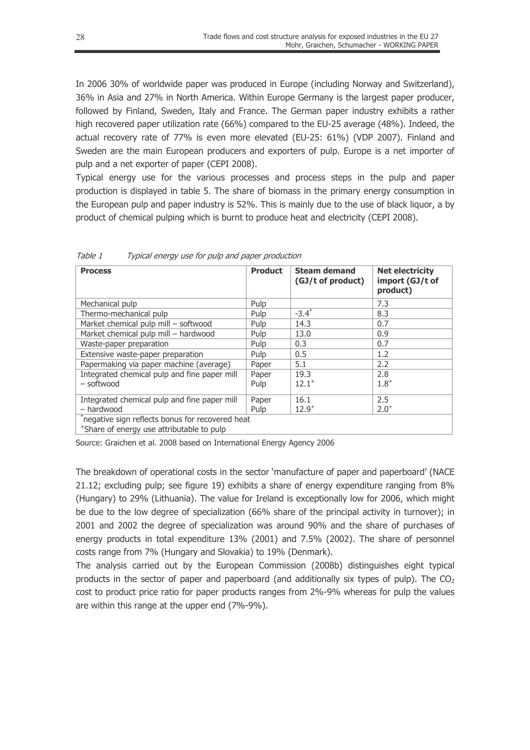In 2006 30% of worldwide paper was produced in Europe (including Norway and Switzerland), 36% in Asia and 27% in North America. Within Europe Germany is the largest paper producer, followed by Finland, Sweden, Italy and France. The German paper industry exhibits a rather high recovered paper utilization rate (66%) compared to the EU-25 average (48%). Indeed, the actual recovery rate of 77% is even more elevated (EU-25: 61%) (VDP 2007). Finland and Sweden are the main European producers and exporters of pulp. Europe is a net importer of pulp and a net exporter of paper (CEPI 2008).

Typical energy use for the various processes and process steps in the pulp and paper production is displayed in table 5. The share of biomass in the primary energy consumption in the European pulp and paper industry is 52%. This is mainly due to the use of black liquor, a by product of chemical pulping which is burnt to produce heat and electricity (CEPI 2008).

| <b>Process</b>                                                                                | <b>Product</b> | <b>Steam demand</b><br>(GJ/t of product) | <b>Net electricity</b><br>import (GJ/t of<br>product) |
|-----------------------------------------------------------------------------------------------|----------------|------------------------------------------|-------------------------------------------------------|
| Mechanical pulp                                                                               | Pulp           |                                          | 7.3                                                   |
| Thermo-mechanical pulp                                                                        | Pulp           | $-3.4*$                                  | 8.3                                                   |
| Market chemical pulp mill - softwood                                                          | Pulp           | 14.3                                     | 0.7                                                   |
| Market chemical pulp mill - hardwood                                                          | Pulp           | 13.0                                     | 0.9                                                   |
| Waste-paper preparation                                                                       | Pulp           | 0.3                                      | 0.7                                                   |
| Extensive waste-paper preparation                                                             | Pulp           | 0.5                                      | 1.2                                                   |
| Papermaking via paper machine (average)                                                       | Paper          | 5.1                                      | 2.2                                                   |
| Integrated chemical pulp and fine paper mill                                                  | Paper          | 19.3                                     | 2.8                                                   |
| - softwood                                                                                    | Pulp           | $12.1^{+}$                               | $1.8^{+}$                                             |
| Integrated chemical pulp and fine paper mill                                                  | Paper          | 16.1                                     | 2.5                                                   |
| - hardwood                                                                                    | Pulp           | $12.9^{+}$                               | $2.0^{+}$                                             |
| *negative sign reflects bonus for recovered heat<br>*Share of energy use attributable to pulp |                |                                          |                                                       |

Table 1 Typical energy use for pulp and paper production

Source: Graichen et al. 2008 based on International Energy Agency 2006

The breakdown of operational costs in the sector 'manufacture of paper and paperboard' (NACE 21.12; excluding pulp; see figure 19) exhibits a share of energy expenditure ranging from 8% (Hungary) to 29% (Lithuania). The value for Ireland is exceptionally low for 2006, which might be due to the low degree of specialization (66% share of the principal activity in turnover); in 2001 and 2002 the degree of specialization was around 90% and the share of purchases of energy products in total expenditure 13% (2001) and 7.5% (2002). The share of personnel costs range from 7% (Hungary and Slovakia) to 19% (Denmark).

The analysis carried out by the European Commission (2008b) distinguishes eight typical products in the sector of paper and paperboard (and additionally six types of pulp). The  $CO<sub>2</sub>$ cost to product price ratio for paper products ranges from 2%-9% whereas for pulp the values are within this range at the upper end (7%-9%).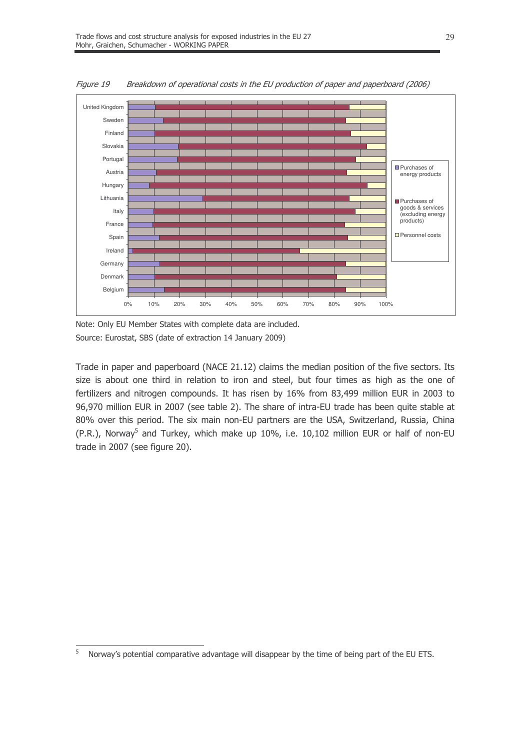

Figure 19 Breakdown of operational costs in the EU production of paper and paperboard (2006)

Note: Only EU Member States with complete data are included. Source: Eurostat, SBS (date of extraction 14 January 2009)

Trade in paper and paperboard (NACE 21.12) claims the median position of the five sectors. Its size is about one third in relation to iron and steel, but four times as high as the one of fertilizers and nitrogen compounds. It has risen by 16% from 83,499 million EUR in 2003 to 96,970 million EUR in 2007 (see table 2). The share of intra-EU trade has been quite stable at 80% over this period. The six main non-EU partners are the USA, Switzerland, Russia, China (P.R.), Norway<sup>5</sup> and Turkey, which make up 10%, i.e. 10,102 million EUR or half of non-EU trade in 2007 (see figure 20).

<sup>5</sup> Norway's potential comparative advantage will disappear by the time of being part of the EU ETS.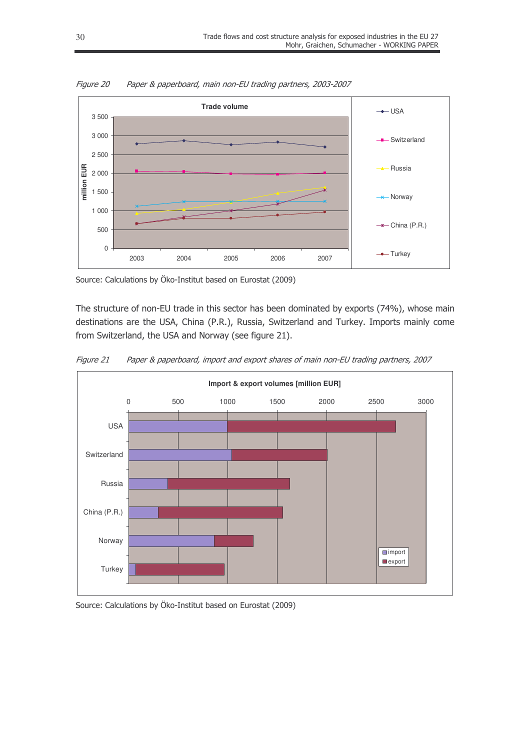

Figure 20 Paper & paperboard, main non-EU trading partners, 2003-2007

Source: Calculations by Öko-Institut based on Eurostat (2009)

The structure of non-EU trade in this sector has been dominated by exports (74%), whose main destinations are the USA, China (P.R.), Russia, Switzerland and Turkey. Imports mainly come from Switzerland, the USA and Norway (see figure 21).



Figure 21 Paper & paperboard, import and export shares of main non-EU trading partners, 2007

Source: Calculations by Öko-Institut based on Eurostat (2009)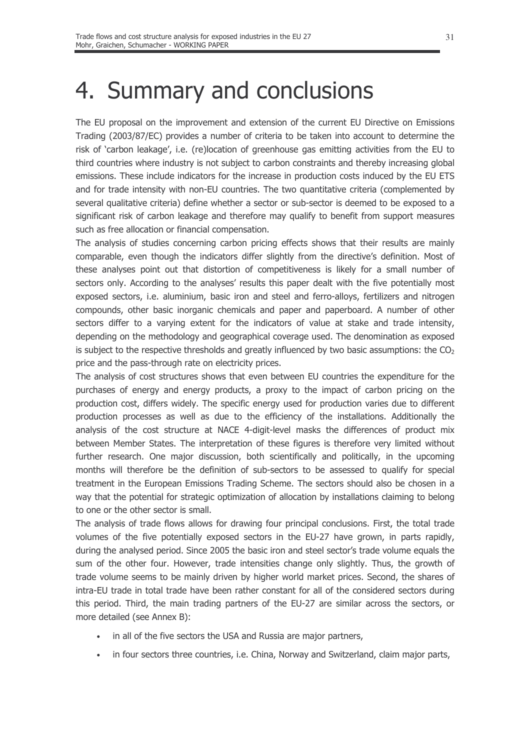## 4. Summary and conclusions

The EU proposal on the improvement and extension of the current EU Directive on Emissions Trading (2003/87/EC) provides a number of criteria to be taken into account to determine the risk of 'carbon leakage', i.e. (re)location of greenhouse gas emitting activities from the EU to third countries where industry is not subject to carbon constraints and thereby increasing global emissions. These include indicators for the increase in production costs induced by the EU ETS and for trade intensity with non-EU countries. The two quantitative criteria (complemented by several qualitative criteria) define whether a sector or sub-sector is deemed to be exposed to a significant risk of carbon leakage and therefore may qualify to benefit from support measures such as free allocation or financial compensation.

The analysis of studies concerning carbon pricing effects shows that their results are mainly comparable, even though the indicators differ slightly from the directive's definition. Most of these analyses point out that distortion of competitiveness is likely for a small number of sectors only. According to the analyses' results this paper dealt with the five potentially most exposed sectors, i.e. aluminium, basic iron and steel and ferro-alloys, fertilizers and nitrogen compounds, other basic inorganic chemicals and paper and paperboard. A number of other sectors differ to a varying extent for the indicators of value at stake and trade intensity, depending on the methodology and geographical coverage used. The denomination as exposed is subject to the respective thresholds and greatly influenced by two basic assumptions: the  $CO<sub>2</sub>$ price and the pass-through rate on electricity prices.

The analysis of cost structures shows that even between EU countries the expenditure for the purchases of energy and energy products, a proxy to the impact of carbon pricing on the production cost, differs widely. The specific energy used for production varies due to different production processes as well as due to the efficiency of the installations. Additionally the analysis of the cost structure at NACE 4-digit-level masks the differences of product mix between Member States. The interpretation of these figures is therefore very limited without further research. One major discussion, both scientifically and politically, in the upcoming months will therefore be the definition of sub-sectors to be assessed to qualify for special treatment in the European Emissions Trading Scheme. The sectors should also be chosen in a way that the potential for strategic optimization of allocation by installations claiming to belong to one or the other sector is small.

The analysis of trade flows allows for drawing four principal conclusions. First, the total trade volumes of the five potentially exposed sectors in the EU-27 have grown, in parts rapidly, during the analysed period. Since 2005 the basic iron and steel sector's trade volume equals the sum of the other four. However, trade intensities change only slightly. Thus, the growth of trade volume seems to be mainly driven by higher world market prices. Second, the shares of intra-EU trade in total trade have been rather constant for all of the considered sectors during this period. Third, the main trading partners of the EU-27 are similar across the sectors, or more detailed (see Annex B):

- in all of the five sectors the USA and Russia are major partners,
- in four sectors three countries, i.e. China, Norway and Switzerland, claim major parts,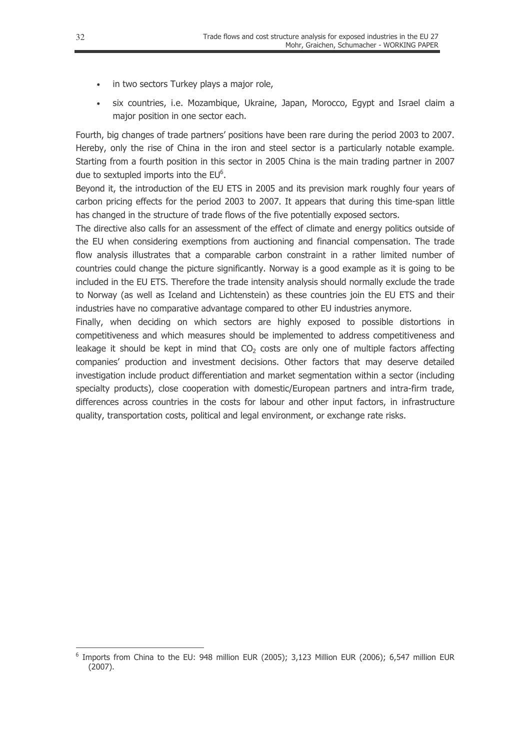- in two sectors Turkey plays a major role,
- six countries, i.e. Mozambique, Ukraine, Japan, Morocco, Eqypt and Israel claim a major position in one sector each.

Fourth, big changes of trade partners' positions have been rare during the period 2003 to 2007. Hereby, only the rise of China in the iron and steel sector is a particularly notable example. Starting from a fourth position in this sector in 2005 China is the main trading partner in 2007 due to sextupled imports into the  $EU<sup>6</sup>$ .

Beyond it, the introduction of the EU ETS in 2005 and its prevision mark roughly four years of carbon pricing effects for the period 2003 to 2007. It appears that during this time-span little has changed in the structure of trade flows of the five potentially exposed sectors.

The directive also calls for an assessment of the effect of climate and energy politics outside of the EU when considering exemptions from auctioning and financial compensation. The trade flow analysis illustrates that a comparable carbon constraint in a rather limited number of countries could change the picture significantly. Norway is a good example as it is going to be included in the EU ETS. Therefore the trade intensity analysis should normally exclude the trade to Norway (as well as Iceland and Lichtenstein) as these countries join the EU ETS and their industries have no comparative advantage compared to other EU industries anymore.

Finally, when deciding on which sectors are highly exposed to possible distortions in competitiveness and which measures should be implemented to address competitiveness and leakage it should be kept in mind that  $CO<sub>2</sub>$  costs are only one of multiple factors affecting companies' production and investment decisions. Other factors that may deserve detailed investigation include product differentiation and market segmentation within a sector (including specialty products), close cooperation with domestic/European partners and intra-firm trade, differences across countries in the costs for labour and other input factors, in infrastructure quality, transportation costs, political and legal environment, or exchange rate risks.

<sup>&</sup>lt;sup>6</sup> Imports from China to the EU: 948 million EUR (2005); 3,123 Million EUR (2006); 6,547 million EUR  $(2007).$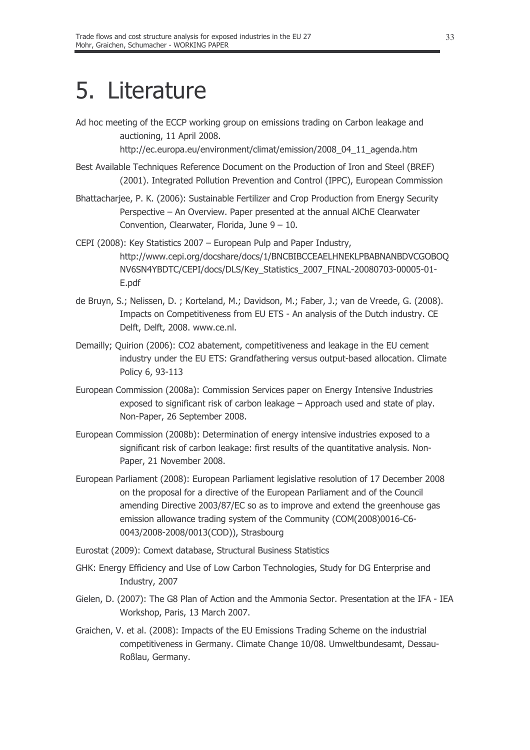# 5. Literature

Ad hoc meeting of the ECCP working group on emissions trading on Carbon leakage and auctioning, 11 April 2008.

http://ec.europa.eu/environment/climat/emission/2008\_04\_11\_agenda.htm

- Best Available Techniques Reference Document on the Production of Iron and Steel (BREF) (2001). Integrated Pollution Prevention and Control (IPPC), European Commission
- Bhattacharjee, P. K. (2006): Sustainable Fertilizer and Crop Production from Energy Security Perspective - An Overview. Paper presented at the annual AIChE Clearwater Convention, Clearwater, Florida, June  $9 - 10$ .
- CEPI (2008): Key Statistics 2007 European Pulp and Paper Industry, http://www.cepi.org/docshare/docs/1/BNCBIBCCEAELHNEKLPBABNANBDVCGOBOQ NV6SN4YBDTC/CEPI/docs/DLS/Key\_Statistics\_2007\_FINAL-20080703-00005-01-E.pdf
- de Bruyn, S.; Nelissen, D.; Korteland, M.; Davidson, M.; Faber, J.; van de Vreede, G. (2008). Impacts on Competitiveness from EU ETS - An analysis of the Dutch industry. CE Delft, Delft, 2008. www.ce.nl.
- Demailly; Quirion (2006): CO2 abatement, competitiveness and leakage in the EU cement industry under the EU ETS: Grandfathering versus output-based allocation. Climate Policy 6, 93-113
- European Commission (2008a): Commission Services paper on Energy Intensive Industries exposed to significant risk of carbon leakage - Approach used and state of play. Non-Paper, 26 September 2008.
- European Commission (2008b); Determination of energy intensive industries exposed to a significant risk of carbon leakage: first results of the quantitative analysis. Non-Paper, 21 November 2008.
- European Parliament (2008): European Parliament legislative resolution of 17 December 2008 on the proposal for a directive of the European Parliament and of the Council amending Directive 2003/87/EC so as to improve and extend the greenhouse gas emission allowance trading system of the Community (COM(2008)0016-C6-0043/2008-2008/0013(COD)), Strasbourg
- Eurostat (2009): Comext database, Structural Business Statistics
- GHK: Energy Efficiency and Use of Low Carbon Technologies, Study for DG Enterprise and Industry, 2007
- Gielen, D. (2007): The G8 Plan of Action and the Ammonia Sector. Presentation at the IFA IEA Workshop, Paris, 13 March 2007.
- Graichen, V. et al. (2008): Impacts of the EU Emissions Trading Scheme on the industrial competitiveness in Germany. Climate Change 10/08. Umweltbundesamt, Dessau-Roßlau, Germany.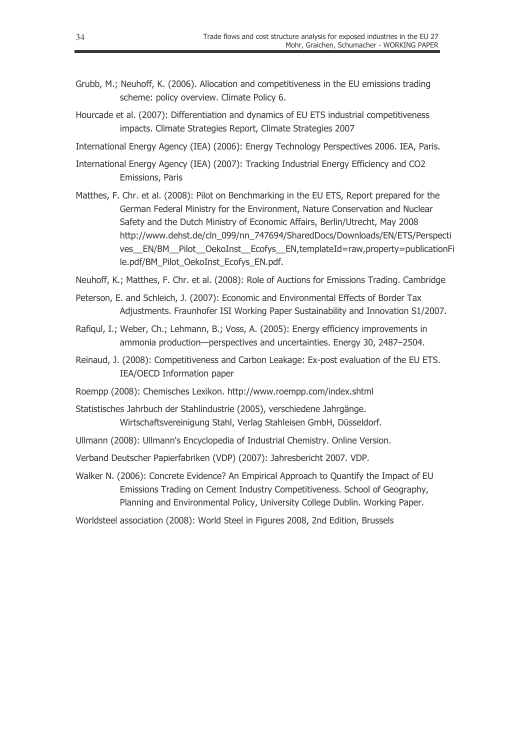- Grubb, M.; Neuhoff, K. (2006). Allocation and competitiveness in the EU emissions trading scheme: policy overview. Climate Policy 6.
- Hourcade et al. (2007): Differentiation and dynamics of EU ETS industrial competitiveness impacts. Climate Strategies Report, Climate Strategies 2007

International Energy Agency (IEA) (2006): Energy Technology Perspectives 2006. IEA, Paris.

- International Energy Agency (IEA) (2007): Tracking Industrial Energy Efficiency and CO2 Emissions, Paris
- Matthes, F. Chr. et al. (2008): Pilot on Benchmarking in the EU ETS, Report prepared for the German Federal Ministry for the Environment, Nature Conservation and Nuclear Safety and the Dutch Ministry of Economic Affairs, Berlin/Utrecht, May 2008 http://www.dehst.de/cln 099/nn 747694/SharedDocs/Downloads/EN/ETS/Perspecti ves EN/BM Pilot OekoInst Ecofys EN,templateId=raw,property=publicationFi le.pdf/BM Pilot OekoInst Ecofys EN.pdf.
- Neuhoff, K.; Matthes, F. Chr. et al. (2008): Role of Auctions for Emissions Trading. Cambridge
- Peterson, E. and Schleich, J. (2007): Economic and Environmental Effects of Border Tax Adjustments. Fraunhofer ISI Working Paper Sustainability and Innovation S1/2007.
- Rafigul, I.; Weber, Ch.; Lehmann, B.; Voss, A. (2005): Energy efficiency improvements in ammonia production-perspectives and uncertainties. Energy 30, 2487-2504.
- Reinaud, J. (2008): Competitiveness and Carbon Leakage: Ex-post evaluation of the EU ETS. IEA/OECD Information paper
- Roempp (2008): Chemisches Lexikon. http://www.roempp.com/index.shtml
- Statistisches Jahrbuch der Stahlindustrie (2005), verschiedene Jahrgänge. Wirtschaftsvereinigung Stahl, Verlag Stahleisen GmbH, Düsseldorf.
- Ullmann (2008): Ullmann's Encyclopedia of Industrial Chemistry. Online Version.
- Verband Deutscher Papierfabriken (VDP) (2007): Jahresbericht 2007. VDP.
- Walker N. (2006): Concrete Evidence? An Empirical Approach to Quantify the Impact of EU Emissions Trading on Cement Industry Competitiveness. School of Geography, Planning and Environmental Policy, University College Dublin. Working Paper.
- Worldsteel association (2008): World Steel in Figures 2008, 2nd Edition, Brussels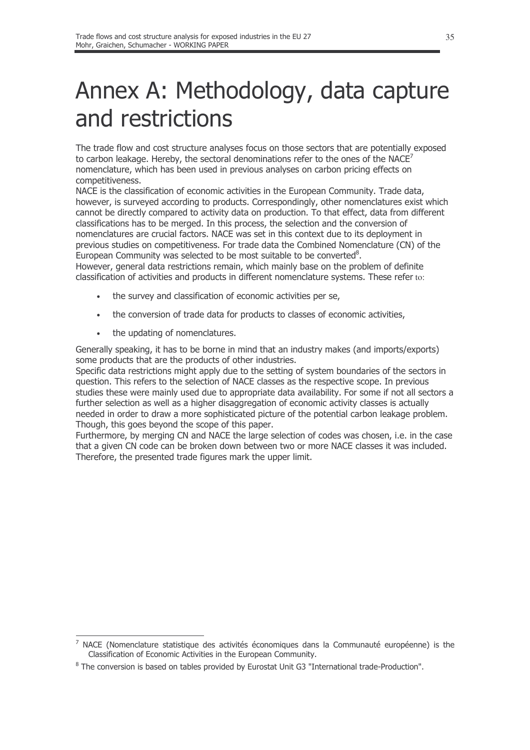## Annex A: Methodology, data capture and restrictions

The trade flow and cost structure analyses focus on those sectors that are potentially exposed to carbon leakage. Hereby, the sectoral denominations refer to the ones of the NACE<sup>2</sup> nomenclature, which has been used in previous analyses on carbon pricing effects on competitiveness.

NACE is the classification of economic activities in the European Community. Trade data, however, is surveyed according to products. Correspondingly, other nomenclatures exist which cannot be directly compared to activity data on production. To that effect, data from different classifications has to be merged. In this process, the selection and the conversion of nomenclatures are crucial factors. NACE was set in this context due to its deployment in previous studies on competitiveness. For trade data the Combined Nomenclature (CN) of the European Community was selected to be most suitable to be converted<sup>8</sup>.

However, general data restrictions remain, which mainly base on the problem of definite classification of activities and products in different nomenclature systems. These refer to:

- the survey and classification of economic activities per se,
- the conversion of trade data for products to classes of economic activities,
- the updating of nomenclatures.

Generally speaking, it has to be borne in mind that an industry makes (and imports/exports) some products that are the products of other industries.

Specific data restrictions might apply due to the setting of system boundaries of the sectors in question. This refers to the selection of NACE classes as the respective scope. In previous studies these were mainly used due to appropriate data availability. For some if not all sectors a further selection as well as a higher disaggregation of economic activity classes is actually needed in order to draw a more sophisticated picture of the potential carbon leakage problem. Though, this goes bevond the scope of this paper.

Furthermore, by merging CN and NACE the large selection of codes was chosen, i.e. in the case that a given CN code can be broken down between two or more NACE classes it was included. Therefore, the presented trade figures mark the upper limit.

<sup>7</sup> NACE (Nomenclature statistique des activités économiques dans la Communauté européenne) is the Classification of Economic Activities in the European Community.

<sup>&</sup>lt;sup>8</sup> The conversion is based on tables provided by Eurostat Unit G3 "International trade-Production".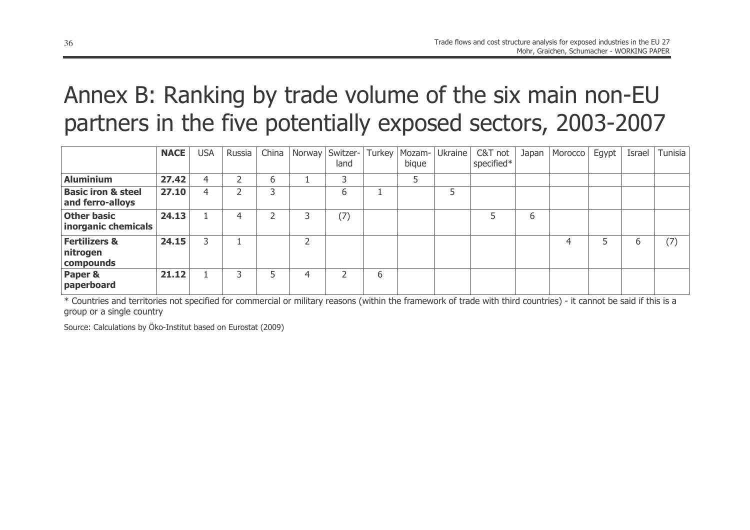## Annex B: Ranking by trade volume of the six main non-EU partners in the five potentially exposed sectors, 2003-2007

|                                                   | <b>NACE</b> | <b>USA</b> | Russia | China | Norway | Switzer-<br>land | Turkey       | Mozam-<br>bique | Ukraine | C&T not<br>specified* | Japan | Morocco | Egypt | Israel | Tunisia |
|---------------------------------------------------|-------------|------------|--------|-------|--------|------------------|--------------|-----------------|---------|-----------------------|-------|---------|-------|--------|---------|
| <b>Aluminium</b>                                  | 27.42       | 4          |        | b     |        | っ                |              |                 |         |                       |       |         |       |        |         |
| <b>Basic iron &amp; steel</b><br>and ferro-alloys | 27.10       | 4          |        |       |        | b                |              |                 | 5       |                       |       |         |       |        |         |
| <b>Other basic</b><br>inorganic chemicals         | 24.13       |            |        |       |        | (7)              |              |                 |         |                       | 6     |         |       |        |         |
| <b>Fertilizers &amp;</b><br>nitrogen<br>compounds | 24.15       | 3          |        |       |        |                  |              |                 |         |                       |       | 4       |       | 6      | (7)     |
| Paper &<br>paperboard                             | 21.12       |            |        |       | ⊿      |                  | <sub>b</sub> |                 |         |                       |       |         |       |        |         |

\* Countries and territories not specified for commercial or military reasons (within the framework of trade with third countries) - it cannot be said if this is a group or a single country

Source: Calculations by Öko-Institut based on Eurostat (2009)